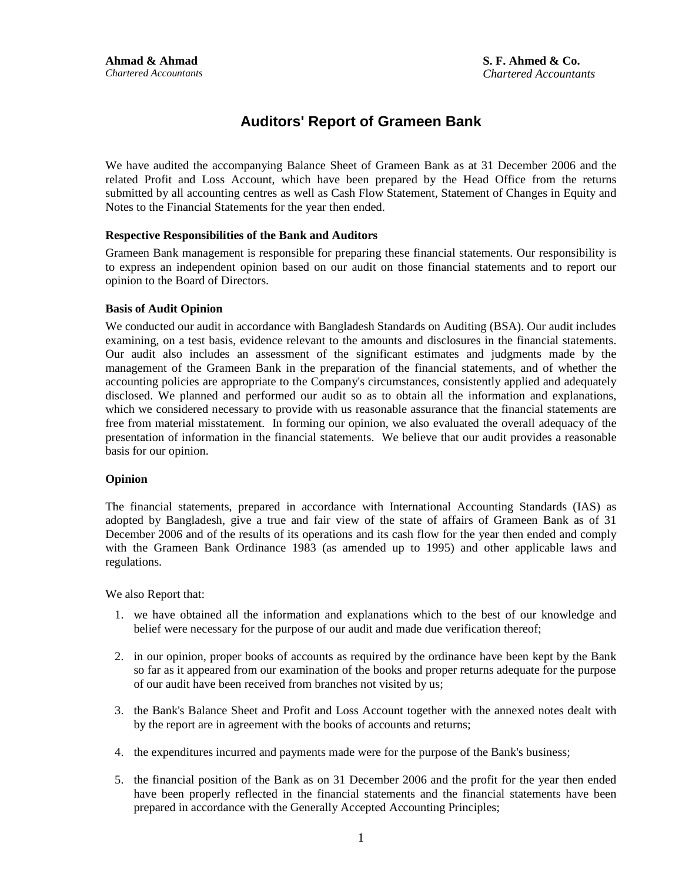## **Auditors' Report of Grameen Bank**

We have audited the accompanying Balance Sheet of Grameen Bank as at 31 December 2006 and the related Profit and Loss Account, which have been prepared by the Head Office from the returns submitted by all accounting centres as well as Cash Flow Statement, Statement of Changes in Equity and Notes to the Financial Statements for the year then ended.

#### **Respective Responsibilities of the Bank and Auditors**

Grameen Bank management is responsible for preparing these financial statements. Our responsibility is to express an independent opinion based on our audit on those financial statements and to report our opinion to the Board of Directors.

#### **Basis of Audit Opinion**

We conducted our audit in accordance with Bangladesh Standards on Auditing (BSA). Our audit includes examining, on a test basis, evidence relevant to the amounts and disclosures in the financial statements. Our audit also includes an assessment of the significant estimates and judgments made by the management of the Grameen Bank in the preparation of the financial statements, and of whether the accounting policies are appropriate to the Company's circumstances, consistently applied and adequately disclosed. We planned and performed our audit so as to obtain all the information and explanations, which we considered necessary to provide with us reasonable assurance that the financial statements are free from material misstatement. In forming our opinion, we also evaluated the overall adequacy of the presentation of information in the financial statements. We believe that our audit provides a reasonable basis for our opinion.

#### **Opinion**

The financial statements, prepared in accordance with International Accounting Standards (IAS) as adopted by Bangladesh, give a true and fair view of the state of affairs of Grameen Bank as of 31 December 2006 and of the results of its operations and its cash flow for the year then ended and comply with the Grameen Bank Ordinance 1983 (as amended up to 1995) and other applicable laws and regulations.

We also Report that:

- 1. we have obtained all the information and explanations which to the best of our knowledge and belief were necessary for the purpose of our audit and made due verification thereof;
- 2. in our opinion, proper books of accounts as required by the ordinance have been kept by the Bank so far as it appeared from our examination of the books and proper returns adequate for the purpose of our audit have been received from branches not visited by us;
- 3. the Bank's Balance Sheet and Profit and Loss Account together with the annexed notes dealt with by the report are in agreement with the books of accounts and returns;
- 4. the expenditures incurred and payments made were for the purpose of the Bank's business;
- 5. the financial position of the Bank as on 31 December 2006 and the profit for the year then ended have been properly reflected in the financial statements and the financial statements have been prepared in accordance with the Generally Accepted Accounting Principles;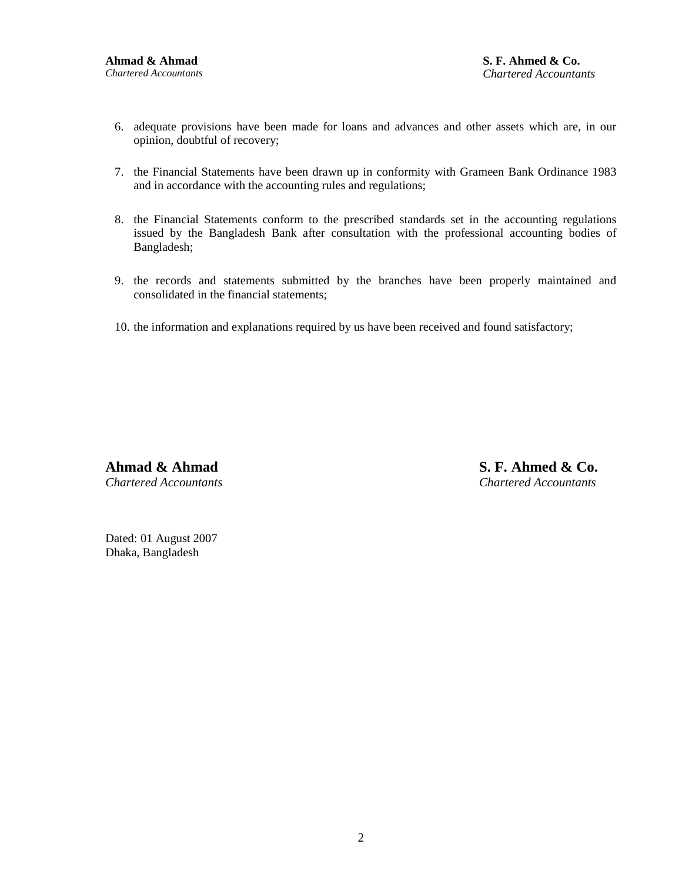- 6. adequate provisions have been made for loans and advances and other assets which are, in our opinion, doubtful of recovery;
- 7. the Financial Statements have been drawn up in conformity with Grameen Bank Ordinance 1983 and in accordance with the accounting rules and regulations;
- 8. the Financial Statements conform to the prescribed standards set in the accounting regulations issued by the Bangladesh Bank after consultation with the professional accounting bodies of Bangladesh;
- 9. the records and statements submitted by the branches have been properly maintained and consolidated in the financial statements;
- 10. the information and explanations required by us have been received and found satisfactory;

**Ahmad & Ahmad** *Chartered Accountants* **S. F. Ahmed & Co.** *Chartered Accountants*

Dated: 01 August 2007 Dhaka, Bangladesh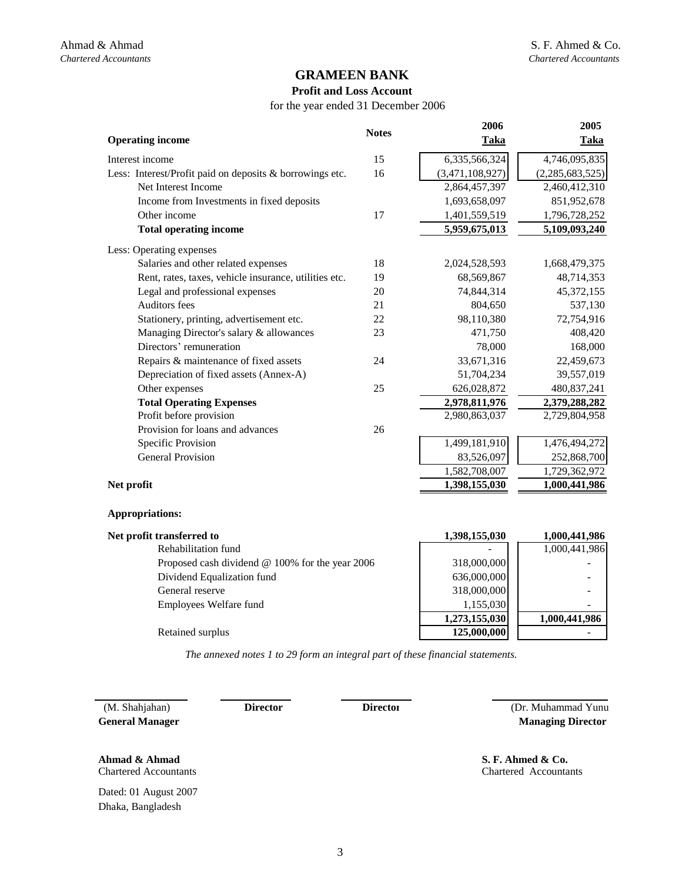#### **Profit and Loss Account**

for the year ended 31 December 2006

| <b>Operating income</b>                                  | <b>Notes</b> | 2006<br><b>Taka</b> | 2005<br>Taka    |
|----------------------------------------------------------|--------------|---------------------|-----------------|
| Interest income                                          | 15           | 6,335,566,324       | 4,746,095,835   |
| Less: Interest/Profit paid on deposits & borrowings etc. | 16           | (3,471,108,927)     | (2,285,683,525) |
| Net Interest Income                                      |              | 2,864,457,397       | 2,460,412,310   |
| Income from Investments in fixed deposits                |              | 1,693,658,097       | 851,952,678     |
| Other income                                             | 17           | 1,401,559,519       | 1,796,728,252   |
| <b>Total operating income</b>                            |              | 5,959,675,013       | 5,109,093,240   |
| Less: Operating expenses                                 |              |                     |                 |
| Salaries and other related expenses                      | 18           | 2,024,528,593       | 1,668,479,375   |
| Rent, rates, taxes, vehicle insurance, utilities etc.    | 19           | 68,569,867          | 48,714,353      |
| Legal and professional expenses                          | 20           | 74,844,314          | 45,372,155      |
| <b>Auditors</b> fees                                     | 21           | 804,650             | 537,130         |
| Stationery, printing, advertisement etc.                 | 22           | 98,110,380          | 72,754,916      |
| Managing Director's salary & allowances                  | 23           | 471,750             | 408,420         |
| Directors' remuneration                                  |              | 78,000              | 168,000         |
| Repairs & maintenance of fixed assets                    | 24           | 33,671,316          | 22,459,673      |
| Depreciation of fixed assets (Annex-A)                   |              | 51,704,234          | 39,557,019      |
| Other expenses                                           | 25           | 626,028,872         | 480,837,241     |
| <b>Total Operating Expenses</b>                          |              | 2,978,811,976       | 2,379,288,282   |
| Profit before provision                                  |              | 2,980,863,037       | 2,729,804,958   |
| Provision for loans and advances                         | 26           |                     |                 |
| Specific Provision                                       |              | 1,499,181,910       | 1,476,494,272   |
| <b>General Provision</b>                                 |              | 83,526,097          | 252,868,700     |
|                                                          |              | 1,582,708,007       | 1,729,362,972   |
| Net profit                                               |              | 1,398,155,030       | 1,000,441,986   |

#### **Appropriations:**

| Net profit transferred to                              | 1,398,155,030 | 1,000,441,986 |  |
|--------------------------------------------------------|---------------|---------------|--|
| Rehabilitation fund                                    |               | 1,000,441,986 |  |
| Proposed cash dividend $\omega$ 100% for the year 2006 | 318,000,000   |               |  |
| Dividend Equalization fund                             | 636,000,000   |               |  |
| General reserve                                        | 318,000,000   |               |  |
| Employees Welfare fund                                 | 1,155,030     |               |  |
|                                                        | 1,273,155,030 | 1,000,441,986 |  |
| Retained surplus                                       | 125,000,000   |               |  |

*The annexed notes 1 to 29 form an integral part of these financial statements.*

 (M. Shahjahan) **Director General Manager** 

**Director**

 **Managing Director**  (Dr. Muhammad Yunu

Chartered Accountants

**Ahmad & Ahmad**  S. F. Ahmed & Co.

Chartered Accountants

Dated: 01 August 2007 Dhaka, Bangladesh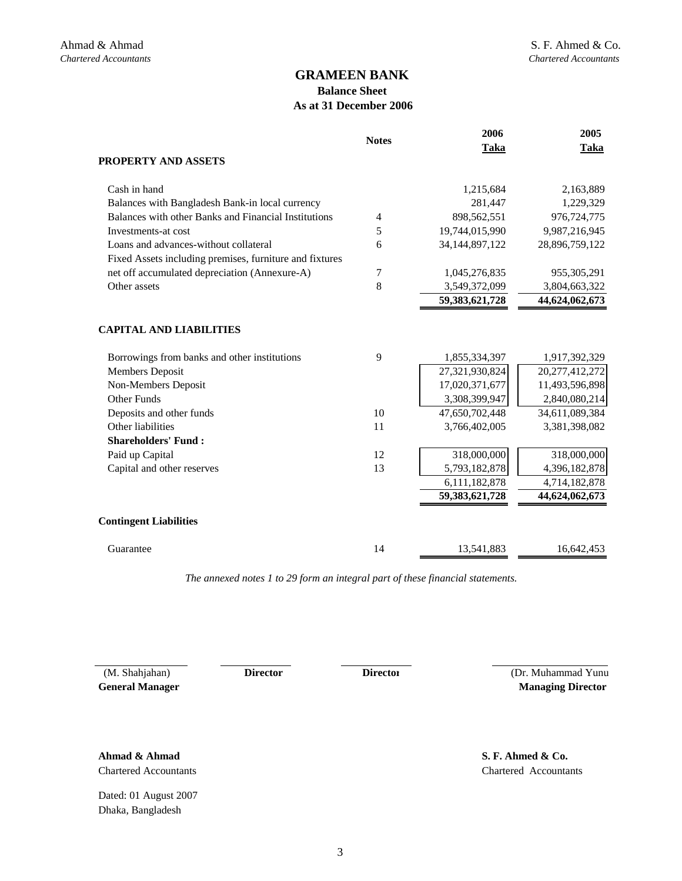## **Balance Sheet As at 31 December 2006**

|                                                         | <b>Notes</b> | 2006              | 2005           |
|---------------------------------------------------------|--------------|-------------------|----------------|
|                                                         |              | Taka              | <b>Taka</b>    |
| PROPERTY AND ASSETS                                     |              |                   |                |
| Cash in hand                                            |              | 1,215,684         | 2,163,889      |
| Balances with Bangladesh Bank-in local currency         |              | 281,447           | 1,229,329      |
| Balances with other Banks and Financial Institutions    | 4            | 898,562,551       | 976,724,775    |
| Investments-at cost                                     | 5            | 19,744,015,990    | 9,987,216,945  |
| Loans and advances-without collateral                   | 6            | 34, 144, 897, 122 | 28,896,759,122 |
| Fixed Assets including premises, furniture and fixtures |              |                   |                |
| net off accumulated depreciation (Annexure-A)           | 7            | 1,045,276,835     | 955,305,291    |
| Other assets                                            | 8            | 3,549,372,099     | 3,804,663,322  |
|                                                         |              | 59,383,621,728    | 44,624,062,673 |
|                                                         |              |                   |                |
| <b>CAPITAL AND LIABILITIES</b>                          |              |                   |                |
| Borrowings from banks and other institutions            | 9            | 1,855,334,397     | 1,917,392,329  |
| <b>Members Deposit</b>                                  |              | 27,321,930,824    | 20,277,412,272 |
| Non-Members Deposit                                     |              | 17,020,371,677    | 11,493,596,898 |
| <b>Other Funds</b>                                      |              | 3,308,399,947     | 2,840,080,214  |
| Deposits and other funds                                | 10           | 47,650,702,448    | 34,611,089,384 |
| Other liabilities                                       | 11           | 3,766,402,005     | 3,381,398,082  |
| <b>Shareholders' Fund:</b>                              |              |                   |                |
| Paid up Capital                                         | 12           | 318,000,000       | 318,000,000    |
| Capital and other reserves                              | 13           | 5,793,182,878     | 4,396,182,878  |
|                                                         |              | 6,111,182,878     | 4,714,182,878  |
|                                                         |              | 59,383,621,728    | 44,624,062,673 |
| <b>Contingent Liabilities</b>                           |              |                   |                |
| Guarantee                                               | 14           | 13,541,883        | 16,642,453     |

*The annexed notes 1 to 29 form an integral part of these financial statements.*

 (M. Shahjahan) **Director General Manager** 

**Director**

(Dr. Muhammad Yunu  **Managing Director** 

Chartered Accountants **Ahmad & Ahmad** 

Dated: 01 August 2007 Dhaka, Bangladesh

Chartered Accountants **S. F. Ahmed & Co.**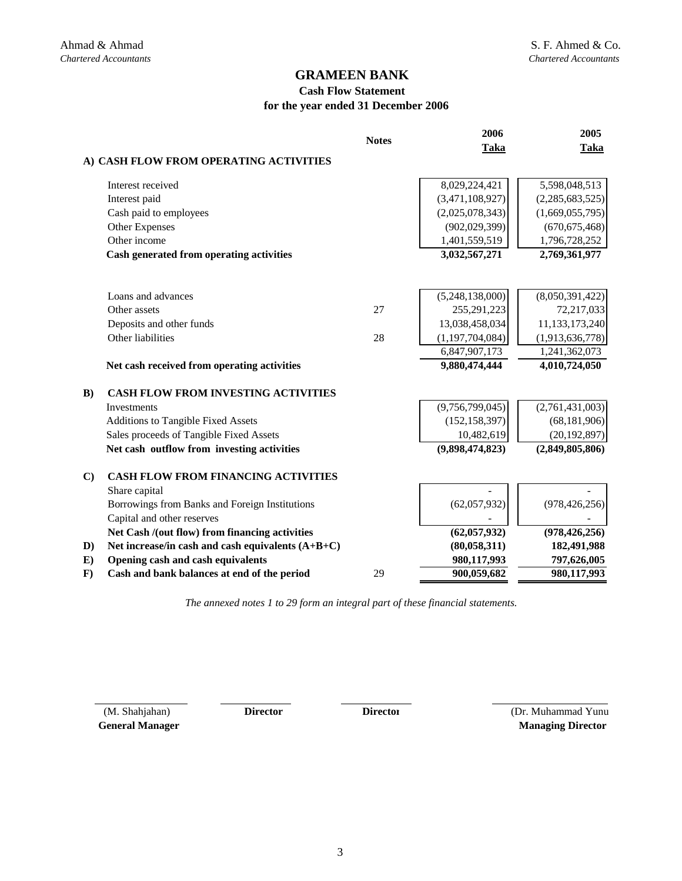## **Cash Flow Statement for the year ended 31 December 2006**

|              |                                                     | <b>Notes</b> | 2006               | 2005            |
|--------------|-----------------------------------------------------|--------------|--------------------|-----------------|
|              | A) CASH FLOW FROM OPERATING ACTIVITIES              |              | Taka               | <b>Taka</b>     |
|              |                                                     |              |                    |                 |
|              | Interest received                                   |              | 8,029,224,421      | 5,598,048,513   |
|              | Interest paid                                       |              | (3,471,108,927)    | (2,285,683,525) |
|              | Cash paid to employees                              |              | (2,025,078,343)    | (1,669,055,795) |
|              | Other Expenses                                      |              | (902, 029, 399)    | (670, 675, 468) |
|              | Other income                                        |              | 1,401,559,519      | 1,796,728,252   |
|              | Cash generated from operating activities            |              | 3,032,567,271      | 2,769,361,977   |
|              |                                                     |              |                    |                 |
|              | Loans and advances                                  |              | (5,248,138,000)    | (8,050,391,422) |
|              | Other assets                                        | 27           | 255, 291, 223      | 72,217,033      |
|              | Deposits and other funds                            |              | 13,038,458,034     | 11,133,173,240  |
|              | Other liabilities                                   | 28           | (1, 197, 704, 084) | (1,913,636,778) |
|              |                                                     |              | 6,847,907,173      | 1,241,362,073   |
|              | Net cash received from operating activities         |              | 9,880,474,444      | 4,010,724,050   |
| $\bf{B}$ )   | <b>CASH FLOW FROM INVESTING ACTIVITIES</b>          |              |                    |                 |
|              | <b>Investments</b>                                  |              | (9,756,799,045)    | (2,761,431,003) |
|              | <b>Additions to Tangible Fixed Assets</b>           |              | (152, 158, 397)    | (68, 181, 906)  |
|              | Sales proceeds of Tangible Fixed Assets             |              | 10,482,619         | (20, 192, 897)  |
|              | Net cash outflow from investing activities          |              | (9,898,474,823)    | (2,849,805,806) |
| $\mathbf{C}$ | <b>CASH FLOW FROM FINANCING ACTIVITIES</b>          |              |                    |                 |
|              | Share capital                                       |              |                    |                 |
|              | Borrowings from Banks and Foreign Institutions      |              | (62,057,932)       | (978, 426, 256) |
|              | Capital and other reserves                          |              |                    |                 |
|              | Net Cash /(out flow) from financing activities      |              | (62,057,932)       | (978, 426, 256) |
| D)           | Net increase/in cash and cash equivalents $(A+B+C)$ |              | (80, 058, 311)     | 182,491,988     |
| E)           | Opening cash and cash equivalents                   |              | 980,117,993        | 797,626,005     |
| $\mathbf{F}$ | Cash and bank balances at end of the period         | 29           | 900,059,682        | 980,117,993     |

*The annexed notes 1 to 29 form an integral part of these financial statements.*

 (M. Shahjahan) **Director General Manager** 

 **Managing Director Director** (Dr. Muhammad Yunus)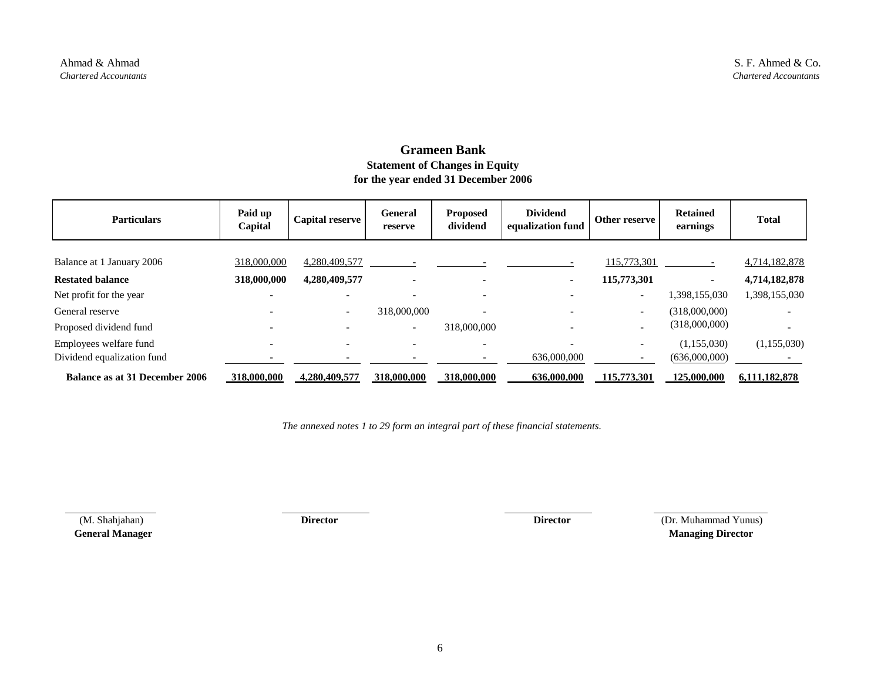## **Grameen Bank Statement of Changes in Equity for the year ended 31 December 2006**

| <b>Particulars</b>                    | Paid up<br>Capital | <b>Capital reserve</b>   | General<br>reserve       | <b>Proposed</b><br>dividend | <b>Dividend</b><br>equalization fund | Other reserve            | <b>Retained</b><br>earnings | <b>Total</b>  |
|---------------------------------------|--------------------|--------------------------|--------------------------|-----------------------------|--------------------------------------|--------------------------|-----------------------------|---------------|
| Balance at 1 January 2006             | 318,000,000        | 4,280,409,577            |                          |                             |                                      | 115,773,301              |                             | 4,714,182,878 |
| <b>Restated balance</b>               | 318,000,000        | 4,280,409,577            |                          |                             | ٠                                    | 115,773,301              | $\blacksquare$              | 4,714,182,878 |
| Net profit for the year               |                    |                          |                          |                             |                                      | $\overline{\phantom{a}}$ | 1,398,155,030               | 1,398,155,030 |
| General reserve                       |                    | $\overline{\phantom{0}}$ | 318,000,000              |                             |                                      | $\overline{\phantom{a}}$ | (318,000,000)               |               |
| Proposed dividend fund                |                    |                          | $\overline{\phantom{0}}$ | 318,000,000                 |                                      | $\overline{\phantom{0}}$ | (318,000,000)               |               |
| Employees welfare fund                |                    |                          |                          |                             |                                      |                          | (1,155,030)                 | (1,155,030)   |
| Dividend equalization fund            |                    |                          |                          |                             | 636,000,000                          |                          | (636,000,000)               |               |
| <b>Balance as at 31 December 2006</b> | 318,000,000        | 4,280,409,577            | 318,000,000              | 318,000,000                 | 636,000,000                          | 115,773,301              | 125,000,000                 | 6.111.182.878 |

*The annexed notes 1 to 29 form an integral part of these financial statements.*

 (M. Shahjahan) **Director Director** (Dr. Muhammad Yunus) **General Manager** Managing Director **Managing Director**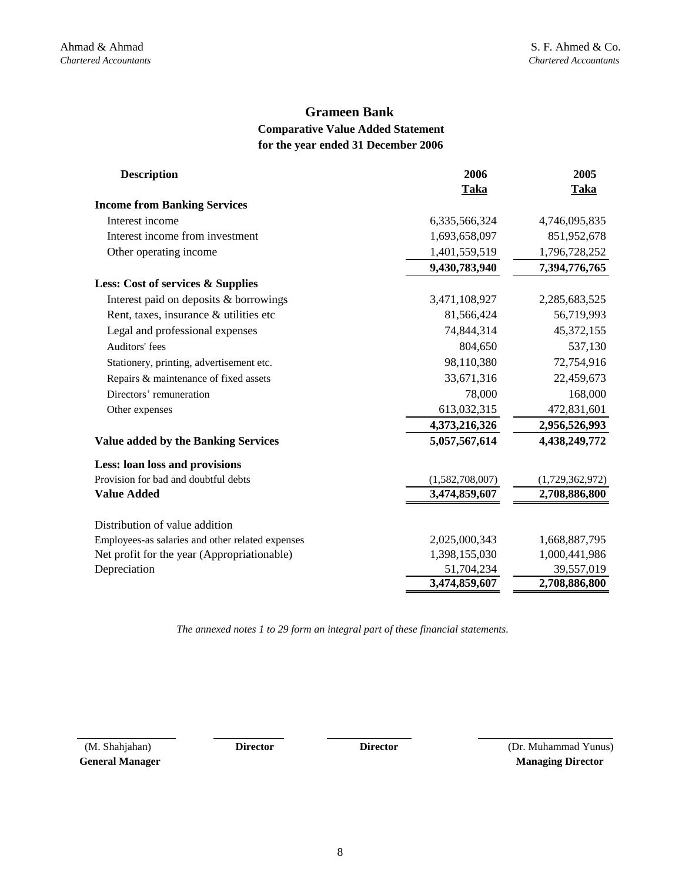## **Grameen Bank**

## **Comparative Value Added Statement for the year ended 31 December 2006**

| <b>Description</b>                               | 2006            | 2005            |
|--------------------------------------------------|-----------------|-----------------|
|                                                  | Taka            | <b>Taka</b>     |
| <b>Income from Banking Services</b>              |                 |                 |
| Interest income                                  | 6,335,566,324   | 4,746,095,835   |
| Interest income from investment                  | 1,693,658,097   | 851,952,678     |
| Other operating income                           | 1,401,559,519   | 1,796,728,252   |
|                                                  | 9,430,783,940   | 7,394,776,765   |
| Less: Cost of services & Supplies                |                 |                 |
| Interest paid on deposits & borrowings           | 3,471,108,927   | 2,285,683,525   |
| Rent, taxes, insurance & utilities etc.          | 81,566,424      | 56,719,993      |
| Legal and professional expenses                  | 74,844,314      | 45,372,155      |
| Auditors' fees                                   | 804,650         | 537,130         |
| Stationery, printing, advertisement etc.         | 98,110,380      | 72,754,916      |
| Repairs & maintenance of fixed assets            | 33,671,316      | 22,459,673      |
| Directors' remuneration                          | 78,000          | 168,000         |
| Other expenses                                   | 613,032,315     | 472,831,601     |
|                                                  | 4,373,216,326   | 2,956,526,993   |
| <b>Value added by the Banking Services</b>       | 5,057,567,614   | 4,438,249,772   |
| Less: loan loss and provisions                   |                 |                 |
| Provision for bad and doubtful debts             | (1,582,708,007) | (1,729,362,972) |
| <b>Value Added</b>                               | 3,474,859,607   | 2,708,886,800   |
| Distribution of value addition                   |                 |                 |
| Employees-as salaries and other related expenses | 2,025,000,343   | 1,668,887,795   |
| Net profit for the year (Appropriationable)      | 1,398,155,030   | 1,000,441,986   |
| Depreciation                                     | 51,704,234      | 39,557,019      |
|                                                  | 3,474,859,607   | 2,708,886,800   |

*The annexed notes 1 to 29 form an integral part of these financial statements.*

 (M. Shahjahan) **Director General Manager** 

**Director**

(Dr. Muhammad Yunus)  **Managing Director**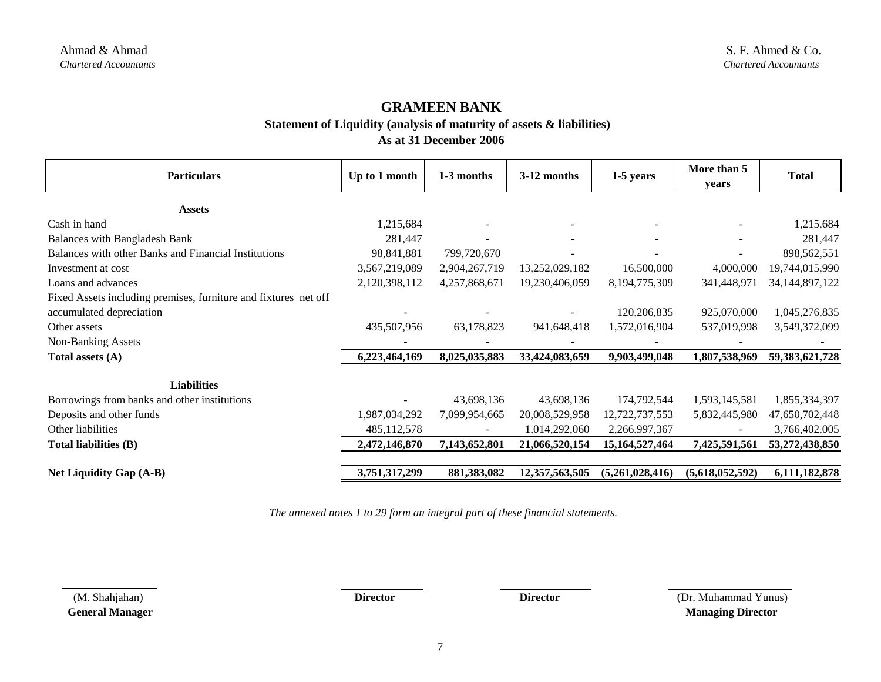**Statement of Liquidity (analysis of maturity of assets & liabilities)** 

**As at 31 December 2006**

| <b>Particulars</b>                                                                          | Up to 1 month | 1-3 months    | 3-12 months    | $1-5$ years       | More than 5<br>years | <b>Total</b>      |
|---------------------------------------------------------------------------------------------|---------------|---------------|----------------|-------------------|----------------------|-------------------|
| <b>Assets</b>                                                                               |               |               |                |                   |                      |                   |
| Cash in hand                                                                                | 1,215,684     |               |                |                   |                      | 1,215,684         |
| <b>Balances with Bangladesh Bank</b>                                                        | 281,447       |               |                |                   |                      | 281,447           |
| Balances with other Banks and Financial Institutions                                        | 98,841,881    | 799,720,670   |                |                   |                      | 898,562,551       |
| Investment at cost                                                                          | 3,567,219,089 | 2,904,267,719 | 13,252,029,182 | 16,500,000        | 4,000,000            | 19,744,015,990    |
| Loans and advances                                                                          | 2,120,398,112 | 4,257,868,671 | 19,230,406,059 | 8,194,775,309     | 341,448,971          | 34, 144, 897, 122 |
| Fixed Assets including premises, furniture and fixtures net off<br>accumulated depreciation |               |               |                | 120,206,835       | 925,070,000          | 1,045,276,835     |
| Other assets                                                                                | 435,507,956   | 63,178,823    | 941,648,418    | 1,572,016,904     | 537,019,998          | 3,549,372,099     |
| <b>Non-Banking Assets</b>                                                                   |               |               |                |                   |                      |                   |
| Total assets (A)                                                                            | 6,223,464,169 | 8,025,035,883 | 33,424,083,659 | 9,903,499,048     | 1,807,538,969        | 59,383,621,728    |
| <b>Liabilities</b>                                                                          |               |               |                |                   |                      |                   |
| Borrowings from banks and other institutions                                                |               | 43,698,136    | 43,698,136     | 174,792,544       | 1,593,145,581        | 1,855,334,397     |
| Deposits and other funds                                                                    | 1,987,034,292 | 7,099,954,665 | 20,008,529,958 | 12,722,737,553    | 5,832,445,980        | 47,650,702,448    |
| Other liabilities                                                                           | 485, 112, 578 |               | 1,014,292,060  | 2,266,997,367     |                      | 3,766,402,005     |
| <b>Total liabilities (B)</b>                                                                | 2,472,146,870 | 7,143,652,801 | 21,066,520,154 | 15, 164, 527, 464 | 7,425,591,561        | 53,272,438,850    |
| <b>Net Liquidity Gap (A-B)</b>                                                              | 3,751,317,299 | 881,383,082   | 12,357,563,505 | (5,261,028,416)   | (5,618,052,592)      | 6,111,182,878     |

*The annexed notes 1 to 29 form an integral part of these financial statements.*

 (M. Shahjahan) **Director Director** (Dr. Muhammad Yunus) **General Manager Managing Director Managing Director**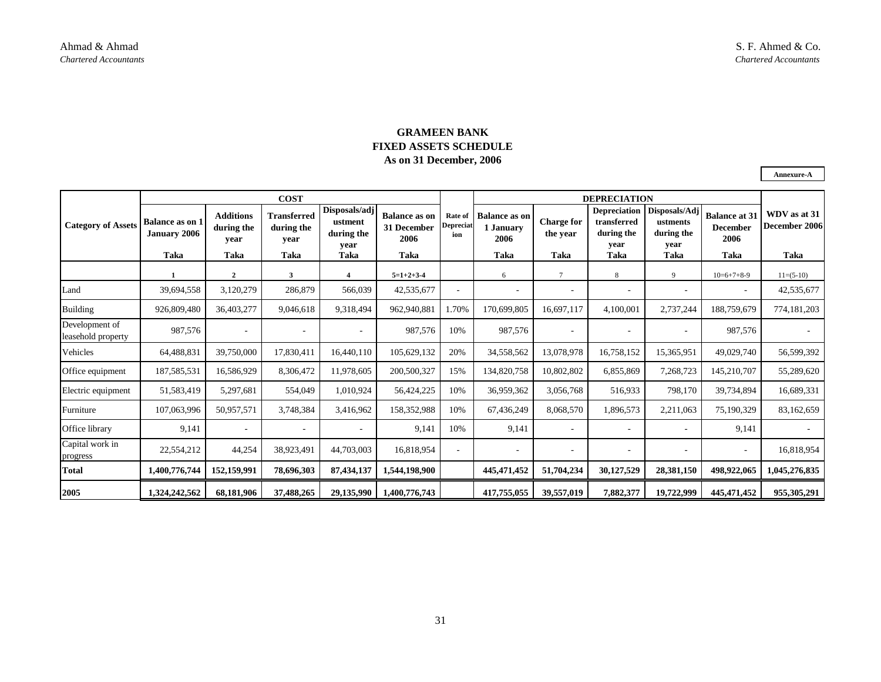## **GRAMEEN BANK FIXED ASSETS SCHEDULE As on 31 December, 2006**

**Annexure-A**

|                                      | <b>COST</b>                                    |                                                |                                           |                                                        |                                                     |                             | <b>DEPRECIATION</b>                               |                                       |                                                                  |                                                         |                                                         |                                       |
|--------------------------------------|------------------------------------------------|------------------------------------------------|-------------------------------------------|--------------------------------------------------------|-----------------------------------------------------|-----------------------------|---------------------------------------------------|---------------------------------------|------------------------------------------------------------------|---------------------------------------------------------|---------------------------------------------------------|---------------------------------------|
| <b>Category of Assets</b>            | <b>Balance as on 1</b><br>January 2006<br>Taka | <b>Additions</b><br>during the<br>vear<br>Taka | Transferred<br>during the<br>vear<br>Taka | Disposals/adj<br>ustment<br>during the<br>vear<br>Taka | <b>Balance as on</b><br>31 December<br>2006<br>Taka | Rate of<br>Depreciat<br>ion | <b>Balance as on</b><br>1 January<br>2006<br>Taka | <b>Charge for</b><br>the year<br>Taka | <b>Depreciation</b><br>transferred<br>during the<br>vear<br>Taka | Disposals/Adj<br>ustments<br>during the<br>vear<br>Taka | <b>Balance at 31</b><br><b>December</b><br>2006<br>Taka | WDV as at 31<br>December 2006<br>Taka |
|                                      |                                                | $\overline{2}$                                 | 3                                         | $\overline{\mathbf{4}}$                                | $5=1+2+3.4$                                         |                             | 6                                                 |                                       | 8                                                                | $\mathbf Q$                                             | $10=6+7+8-9$                                            | $11=(5-10)$                           |
| Land                                 | 39,694,558                                     | 3,120,279                                      | 286,879                                   | 566,039                                                | 42,535,677                                          |                             | $\overline{\phantom{a}}$                          | ٠                                     | $\sim$                                                           | $\overline{\phantom{a}}$                                | $\overline{\phantom{a}}$                                | 42,535,677                            |
| <b>Building</b>                      | 926,809,480                                    | 36,403,277                                     | 9,046,618                                 | 9,318,494                                              | 962,940,881                                         | 1.70%                       | 170,699,805                                       | 16,697,117                            | 4,100,001                                                        | 2,737,244                                               | 188,759,679                                             | 774,181,203                           |
| Development of<br>leasehold property | 987,576                                        | $\overline{\phantom{a}}$                       |                                           | $\overline{\phantom{a}}$                               | 987,576                                             | 10%                         | 987,576                                           | ٠                                     |                                                                  | $\sim$                                                  | 987,576                                                 |                                       |
| Vehicles                             | 64,488,831                                     | 39,750,000                                     | 17,830,411                                | 16,440,110                                             | 105,629,132                                         | 20%                         | 34,558,562                                        | 13,078,978                            | 16,758,152                                                       | 15,365,951                                              | 49,029,740                                              | 56,599,392                            |
| Office equipment                     | 187,585,531                                    | 16,586,929                                     | 8,306,472                                 | 11,978,605                                             | 200,500,327                                         | 15%                         | 134,820,758                                       | 10,802,802                            | 6,855,869                                                        | 7,268,723                                               | 145,210,707                                             | 55,289,620                            |
| Electric equipment                   | 51,583,419                                     | 5,297,681                                      | 554,049                                   | 1,010,924                                              | 56,424,225                                          | 10%                         | 36,959,362                                        | 3,056,768                             | 516,933                                                          | 798,170                                                 | 39,734,894                                              | 16,689,331                            |
| Furniture                            | 107,063,996                                    | 50,957,571                                     | 3,748,384                                 | 3,416,962                                              | 158,352,988                                         | 10%                         | 67,436,249                                        | 8,068,570                             | 1,896,573                                                        | 2,211,063                                               | 75,190,329                                              | 83,162,659                            |
| Office library                       | 9,141                                          | $\sim$                                         |                                           |                                                        | 9,141                                               | 10%                         | 9,141                                             | $\sim$                                |                                                                  | $\overline{\phantom{a}}$                                | 9,141                                                   |                                       |
| Capital work in<br>progress          | 22,554,212                                     | 44,254                                         | 38,923,491                                | 44,703,003                                             | 16,818,954                                          |                             | $\overline{\phantom{a}}$                          | $\sim$                                |                                                                  | $\overline{\phantom{a}}$                                |                                                         | 16,818,954                            |
| <b>Total</b>                         | 1,400,776,744                                  | 152,159,991                                    | 78,696,303                                | 87,434,137                                             | 1,544,198,900                                       |                             | 445, 471, 452                                     | 51,704,234                            | 30,127,529                                                       | 28,381,150                                              | 498,922,065                                             | 1,045,276,835                         |
| 2005                                 | 1,324,242,562                                  | 68,181,906                                     | 37,488,265                                | 29,135,990                                             | 1,400,776,743                                       |                             | 417,755,055                                       | 39,557,019                            | 7,882,377                                                        | 19,722,999                                              | 445,471,452                                             | 955,305,291                           |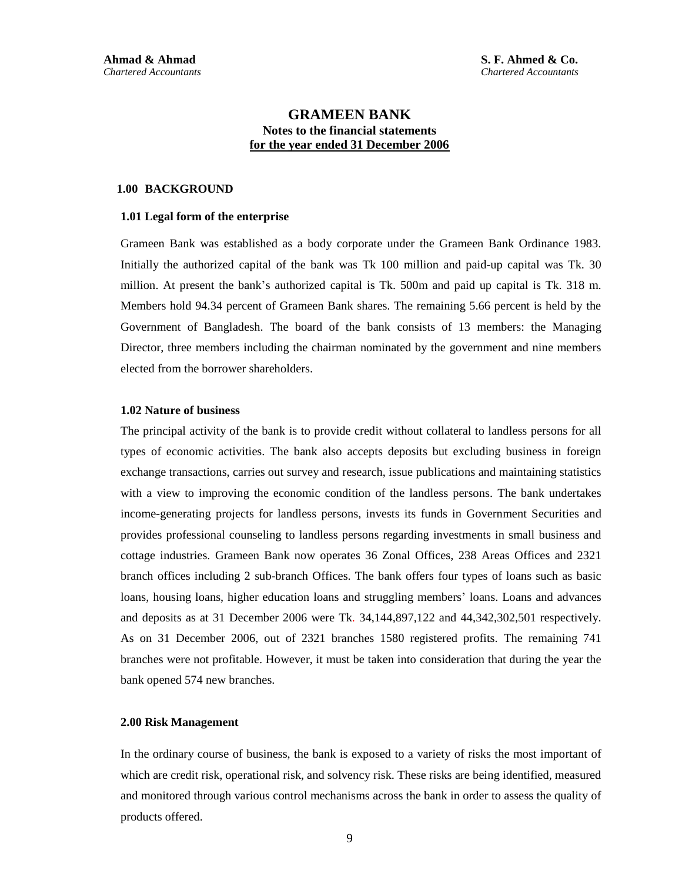**S. F. Ahmed & Co.** *Chartered Accountants* 

## **GRAMEEN BANK Notes to the financial statements for the year ended 31 December 2006**

#### **1.00 BACKGROUND**

#### **1.01 Legal form of the enterprise**

Grameen Bank was established as a body corporate under the Grameen Bank Ordinance 1983. Initially the authorized capital of the bank was Tk 100 million and paid-up capital was Tk. 30 million. At present the bank's authorized capital is Tk. 500m and paid up capital is Tk. 318 m. Members hold 94.34 percent of Grameen Bank shares. The remaining 5.66 percent is held by the Government of Bangladesh. The board of the bank consists of 13 members: the Managing Director, three members including the chairman nominated by the government and nine members elected from the borrower shareholders.

#### **1.02 Nature of business**

The principal activity of the bank is to provide credit without collateral to landless persons for all types of economic activities. The bank also accepts deposits but excluding business in foreign exchange transactions, carries out survey and research, issue publications and maintaining statistics with a view to improving the economic condition of the landless persons. The bank undertakes income-generating projects for landless persons, invests its funds in Government Securities and provides professional counseling to landless persons regarding investments in small business and cottage industries. Grameen Bank now operates 36 Zonal Offices, 238 Areas Offices and 2321 branch offices including 2 sub-branch Offices. The bank offers four types of loans such as basic loans, housing loans, higher education loans and struggling members' loans. Loans and advances and deposits as at 31 December 2006 were Tk. 34,144,897,122 and 44,342,302,501 respectively. As on 31 December 2006, out of 2321 branches 1580 registered profits. The remaining 741 branches were not profitable. However, it must be taken into consideration that during the year the bank opened 574 new branches.

#### **2.00 Risk Management**

In the ordinary course of business, the bank is exposed to a variety of risks the most important of which are credit risk, operational risk, and solvency risk. These risks are being identified, measured and monitored through various control mechanisms across the bank in order to assess the quality of products offered.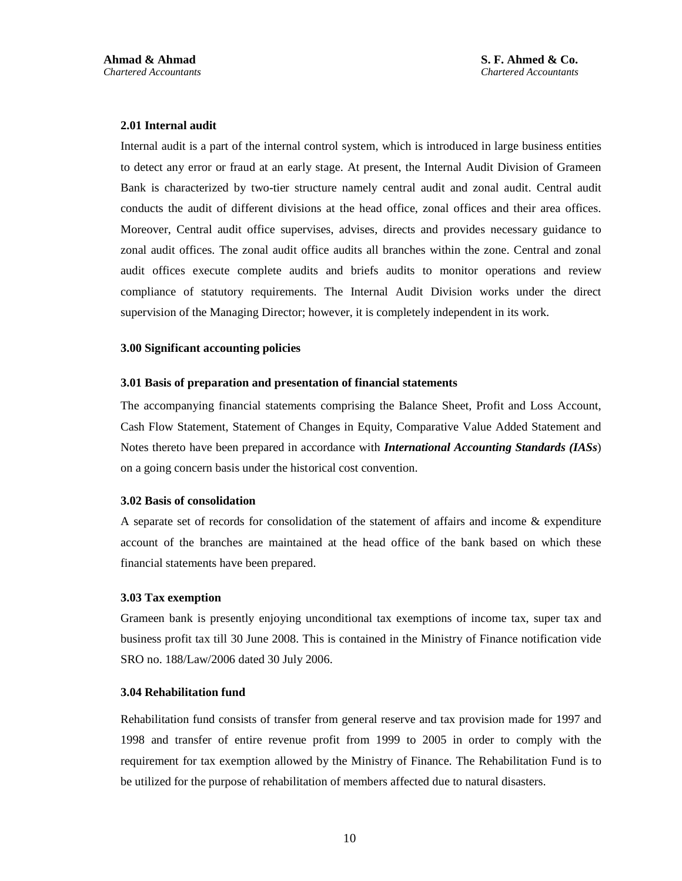#### **2.01 Internal audit**

Internal audit is a part of the internal control system, which is introduced in large business entities to detect any error or fraud at an early stage. At present, the Internal Audit Division of Grameen Bank is characterized by two-tier structure namely central audit and zonal audit. Central audit conducts the audit of different divisions at the head office, zonal offices and their area offices. Moreover, Central audit office supervises, advises, directs and provides necessary guidance to zonal audit offices. The zonal audit office audits all branches within the zone. Central and zonal audit offices execute complete audits and briefs audits to monitor operations and review compliance of statutory requirements. The Internal Audit Division works under the direct supervision of the Managing Director; however, it is completely independent in its work.

#### **3.00 Significant accounting policies**

#### **3.01 Basis of preparation and presentation of financial statements**

The accompanying financial statements comprising the Balance Sheet, Profit and Loss Account, Cash Flow Statement, Statement of Changes in Equity, Comparative Value Added Statement and Notes thereto have been prepared in accordance with *International Accounting Standards (IASs*) on a going concern basis under the historical cost convention.

#### **3.02 Basis of consolidation**

A separate set of records for consolidation of the statement of affairs and income & expenditure account of the branches are maintained at the head office of the bank based on which these financial statements have been prepared.

#### **3.03 Tax exemption**

Grameen bank is presently enjoying unconditional tax exemptions of income tax, super tax and business profit tax till 30 June 2008. This is contained in the Ministry of Finance notification vide SRO no. 188/Law/2006 dated 30 July 2006.

#### **3.04 Rehabilitation fund**

Rehabilitation fund consists of transfer from general reserve and tax provision made for 1997 and 1998 and transfer of entire revenue profit from 1999 to 2005 in order to comply with the requirement for tax exemption allowed by the Ministry of Finance. The Rehabilitation Fund is to be utilized for the purpose of rehabilitation of members affected due to natural disasters.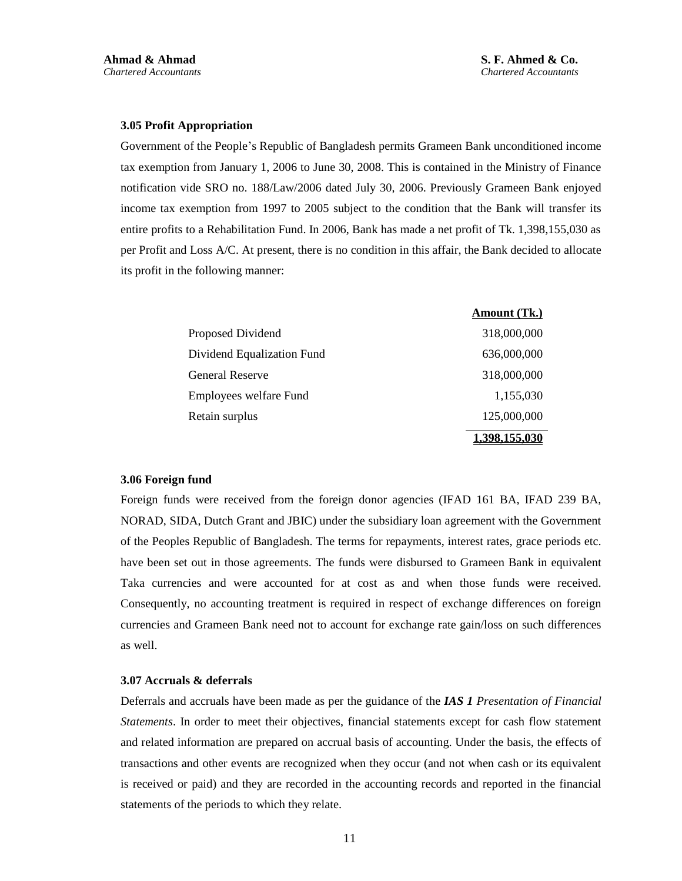#### **3.05 Profit Appropriation**

Government of the People's Republic of Bangladesh permits Grameen Bank unconditioned income tax exemption from January 1, 2006 to June 30, 2008. This is contained in the Ministry of Finance notification vide SRO no. 188/Law/2006 dated July 30, 2006. Previously Grameen Bank enjoyed income tax exemption from 1997 to 2005 subject to the condition that the Bank will transfer its entire profits to a Rehabilitation Fund. In 2006, Bank has made a net profit of Tk. 1,398,155,030 as per Profit and Loss A/C. At present, there is no condition in this affair, the Bank decided to allocate its profit in the following manner:

|                            | Amount (Tk.) |
|----------------------------|--------------|
| Proposed Dividend          | 318,000,000  |
| Dividend Equalization Fund | 636,000,000  |
| <b>General Reserve</b>     | 318,000,000  |
| Employees welfare Fund     | 1,155,030    |
| Retain surplus             | 125,000,000  |
|                            | .398.155.030 |

#### **3.06 Foreign fund**

Foreign funds were received from the foreign donor agencies (IFAD 161 BA, IFAD 239 BA, NORAD, SIDA, Dutch Grant and JBIC) under the subsidiary loan agreement with the Government of the Peoples Republic of Bangladesh. The terms for repayments, interest rates, grace periods etc. have been set out in those agreements. The funds were disbursed to Grameen Bank in equivalent Taka currencies and were accounted for at cost as and when those funds were received. Consequently, no accounting treatment is required in respect of exchange differences on foreign currencies and Grameen Bank need not to account for exchange rate gain/loss on such differences as well.

#### **3.07 Accruals & deferrals**

Deferrals and accruals have been made as per the guidance of the *IAS 1 Presentation of Financial Statements*. In order to meet their objectives, financial statements except for cash flow statement and related information are prepared on accrual basis of accounting. Under the basis, the effects of transactions and other events are recognized when they occur (and not when cash or its equivalent is received or paid) and they are recorded in the accounting records and reported in the financial statements of the periods to which they relate.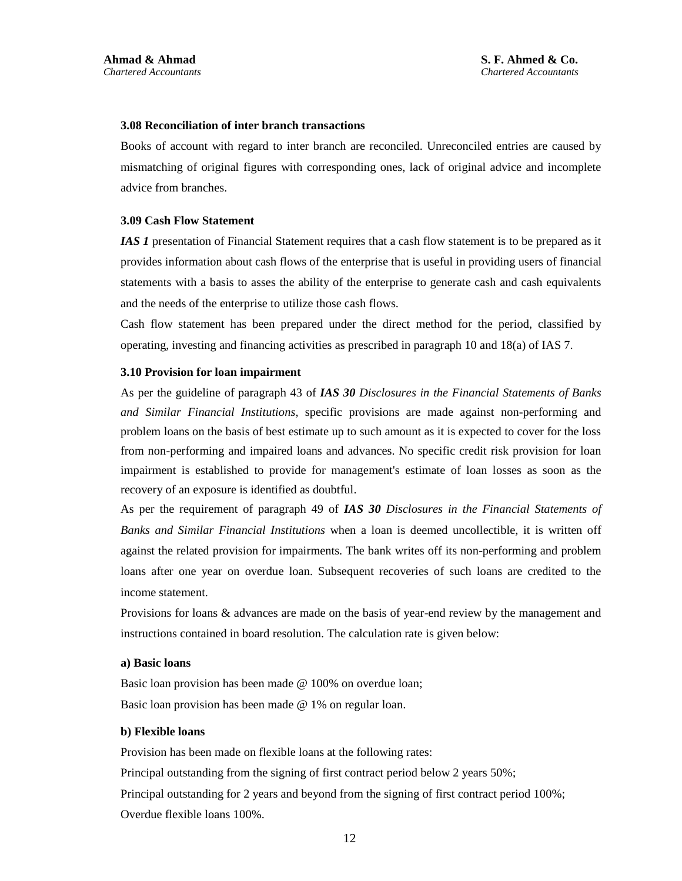#### **3.08 Reconciliation of inter branch transactions**

Books of account with regard to inter branch are reconciled. Unreconciled entries are caused by mismatching of original figures with corresponding ones, lack of original advice and incomplete advice from branches.

#### **3.09 Cash Flow Statement**

*IAS 1* presentation of Financial Statement requires that a cash flow statement is to be prepared as it provides information about cash flows of the enterprise that is useful in providing users of financial statements with a basis to asses the ability of the enterprise to generate cash and cash equivalents and the needs of the enterprise to utilize those cash flows.

Cash flow statement has been prepared under the direct method for the period, classified by operating, investing and financing activities as prescribed in paragraph 10 and 18(a) of IAS 7.

#### **3.10 Provision for loan impairment**

As per the guideline of paragraph 43 of *IAS 30 Disclosures in the Financial Statements of Banks and Similar Financial Institutions,* specific provisions are made against non-performing and problem loans on the basis of best estimate up to such amount as it is expected to cover for the loss from non-performing and impaired loans and advances. No specific credit risk provision for loan impairment is established to provide for management's estimate of loan losses as soon as the recovery of an exposure is identified as doubtful.

As per the requirement of paragraph 49 of *IAS 30 Disclosures in the Financial Statements of Banks and Similar Financial Institutions* when a loan is deemed uncollectible, it is written off against the related provision for impairments. The bank writes off its non-performing and problem loans after one year on overdue loan. Subsequent recoveries of such loans are credited to the income statement.

Provisions for loans & advances are made on the basis of year-end review by the management and instructions contained in board resolution. The calculation rate is given below:

#### **a) Basic loans**

Basic loan provision has been made @ 100% on overdue loan; Basic loan provision has been made @ 1% on regular loan.

#### **b) Flexible loans**

Provision has been made on flexible loans at the following rates: Principal outstanding from the signing of first contract period below 2 years 50%; Principal outstanding for 2 years and beyond from the signing of first contract period 100%; Overdue flexible loans 100%.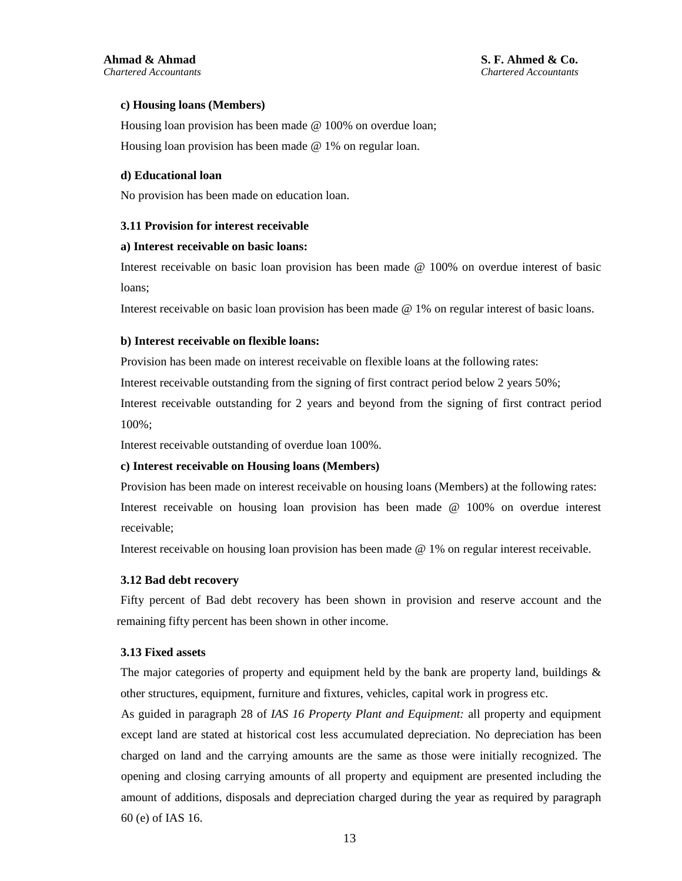#### **c) Housing loans (Members)**

Housing loan provision has been made @ 100% on overdue loan; Housing loan provision has been made @ 1% on regular loan.

#### **d) Educational loan**

No provision has been made on education loan.

#### **3.11 Provision for interest receivable**

#### **a) Interest receivable on basic loans:**

Interest receivable on basic loan provision has been made @ 100% on overdue interest of basic loans;

Interest receivable on basic loan provision has been made @ 1% on regular interest of basic loans.

#### **b) Interest receivable on flexible loans:**

Provision has been made on interest receivable on flexible loans at the following rates:

Interest receivable outstanding from the signing of first contract period below 2 years 50%;

Interest receivable outstanding for 2 years and beyond from the signing of first contract period 100%;

Interest receivable outstanding of overdue loan 100%.

#### **c) Interest receivable on Housing loans (Members)**

Provision has been made on interest receivable on housing loans (Members) at the following rates: Interest receivable on housing loan provision has been made @ 100% on overdue interest receivable;

Interest receivable on housing loan provision has been made @ 1% on regular interest receivable.

#### **3.12 Bad debt recovery**

Fifty percent of Bad debt recovery has been shown in provision and reserve account and the remaining fifty percent has been shown in other income.

#### **3.13 Fixed assets**

The major categories of property and equipment held by the bank are property land, buildings  $\&$ other structures, equipment, furniture and fixtures, vehicles, capital work in progress etc.

As guided in paragraph 28 of *IAS 16 Property Plant and Equipment:* all property and equipment except land are stated at historical cost less accumulated depreciation. No depreciation has been charged on land and the carrying amounts are the same as those were initially recognized. The opening and closing carrying amounts of all property and equipment are presented including the amount of additions, disposals and depreciation charged during the year as required by paragraph 60 (e) of IAS 16.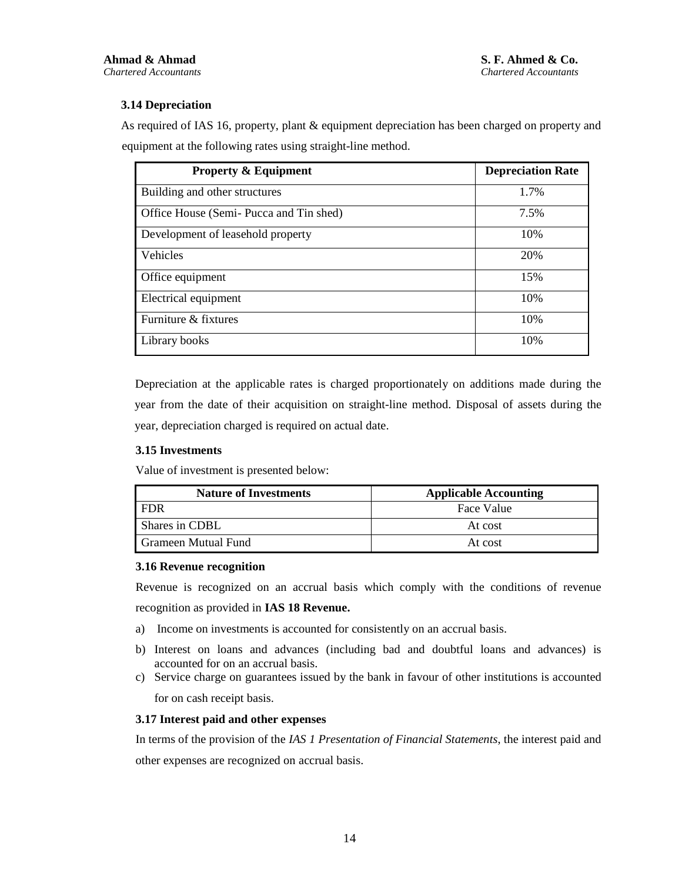## **3.14 Depreciation**

As required of IAS 16, property, plant & equipment depreciation has been charged on property and equipment at the following rates using straight-line method.

| <b>Property &amp; Equipment</b>        | <b>Depreciation Rate</b> |
|----------------------------------------|--------------------------|
| Building and other structures          | 1.7%                     |
| Office House (Semi-Pucca and Tin shed) | 7.5%                     |
| Development of leasehold property      | 10%                      |
| Vehicles                               | 20%                      |
| Office equipment                       | 15%                      |
| Electrical equipment                   | 10%                      |
| Furniture & fixtures                   | 10%                      |
| Library books                          | 10%                      |

Depreciation at the applicable rates is charged proportionately on additions made during the year from the date of their acquisition on straight-line method. Disposal of assets during the year, depreciation charged is required on actual date.

#### **3.15 Investments**

Value of investment is presented below:

| <b>Nature of Investments</b> | <b>Applicable Accounting</b> |
|------------------------------|------------------------------|
| <b>FDR</b>                   | Face Value                   |
| Shares in CDBL               | At cost                      |
| Grameen Mutual Fund          | At cost                      |

#### **3.16 Revenue recognition**

Revenue is recognized on an accrual basis which comply with the conditions of revenue recognition as provided in **IAS 18 Revenue.**

- a) Income on investments is accounted for consistently on an accrual basis.
- b) Interest on loans and advances (including bad and doubtful loans and advances) is accounted for on an accrual basis.
- c) Service charge on guarantees issued by the bank in favour of other institutions is accounted for on cash receipt basis.

#### **3.17 Interest paid and other expenses**

In terms of the provision of the *IAS 1 Presentation of Financial Statements*, the interest paid and other expenses are recognized on accrual basis.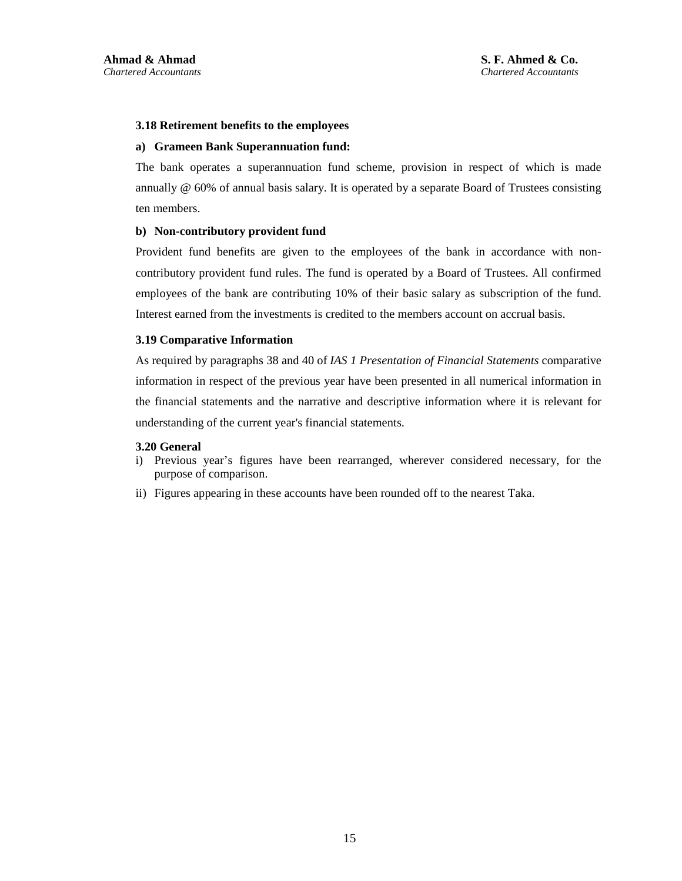#### **3.18 Retirement benefits to the employees**

#### **a) Grameen Bank Superannuation fund:**

The bank operates a superannuation fund scheme, provision in respect of which is made annually @ 60% of annual basis salary. It is operated by a separate Board of Trustees consisting ten members.

#### **b) Non-contributory provident fund**

Provident fund benefits are given to the employees of the bank in accordance with noncontributory provident fund rules. The fund is operated by a Board of Trustees. All confirmed employees of the bank are contributing 10% of their basic salary as subscription of the fund. Interest earned from the investments is credited to the members account on accrual basis.

#### **3.19 Comparative Information**

As required by paragraphs 38 and 40 of *IAS 1 Presentation of Financial Statements* comparative information in respect of the previous year have been presented in all numerical information in the financial statements and the narrative and descriptive information where it is relevant for understanding of the current year's financial statements.

#### **3.20 General**

- i) Previous year's figures have been rearranged, wherever considered necessary, for the purpose of comparison.
- ii) Figures appearing in these accounts have been rounded off to the nearest Taka.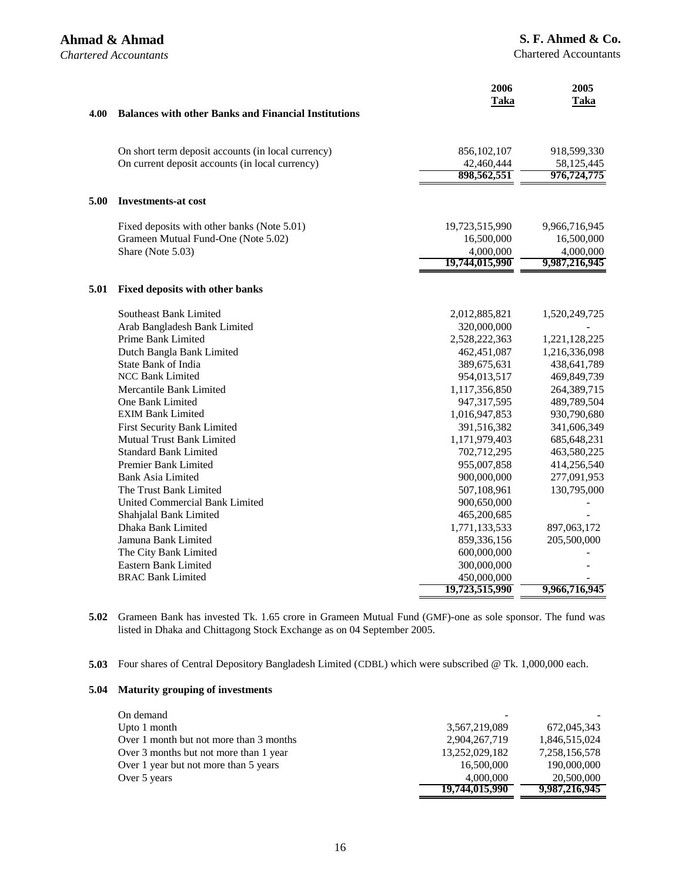*Chartered Accountants* 

|      |                                                                 | 2006<br><b>Taka</b>         | 2005<br><b>Taka</b>        |
|------|-----------------------------------------------------------------|-----------------------------|----------------------------|
| 4.00 | <b>Balances with other Banks and Financial Institutions</b>     |                             |                            |
|      | On short term deposit accounts (in local currency)              | 856, 102, 107               | 918,599,330                |
|      | On current deposit accounts (in local currency)                 | 42,460,444<br>898,562,551   | 58,125,445<br>976,724,775  |
| 5.00 | <b>Investments-at cost</b>                                      |                             |                            |
|      | Fixed deposits with other banks (Note 5.01)                     | 19,723,515,990              | 9,966,716,945              |
|      | Grameen Mutual Fund-One (Note 5.02)                             | 16,500,000                  | 16,500,000                 |
|      | Share (Note 5.03)                                               | 4,000,000<br>19,744,015,990 | 4,000,000<br>9,987,216,945 |
|      |                                                                 |                             |                            |
| 5.01 | <b>Fixed deposits with other banks</b>                          |                             |                            |
|      | <b>Southeast Bank Limited</b>                                   | 2,012,885,821               | 1,520,249,725              |
|      | Arab Bangladesh Bank Limited                                    | 320,000,000                 |                            |
|      | Prime Bank Limited                                              | 2,528,222,363               | 1,221,128,225              |
|      | Dutch Bangla Bank Limited                                       | 462,451,087                 | 1,216,336,098              |
|      | State Bank of India                                             | 389,675,631                 | 438,641,789                |
|      | <b>NCC Bank Limited</b>                                         | 954,013,517                 | 469,849,739                |
|      | Mercantile Bank Limited                                         | 1,117,356,850               | 264,389,715                |
|      | One Bank Limited                                                | 947,317,595                 | 489,789,504                |
|      | <b>EXIM Bank Limited</b>                                        | 1,016,947,853               | 930,790,680                |
|      | <b>First Security Bank Limited</b><br>Mutual Trust Bank Limited | 391,516,382                 | 341,606,349                |
|      | <b>Standard Bank Limited</b>                                    | 1,171,979,403               | 685, 648, 231              |
|      | Premier Bank Limited                                            | 702,712,295<br>955,007,858  | 463,580,225<br>414,256,540 |
|      | <b>Bank Asia Limited</b>                                        | 900,000,000                 | 277,091,953                |
|      | The Trust Bank Limited                                          | 507,108,961                 | 130,795,000                |
|      | United Commercial Bank Limited                                  | 900,650,000                 |                            |
|      | Shahjalal Bank Limited                                          | 465,200,685                 |                            |
|      | Dhaka Bank Limited                                              | 1,771,133,533               | 897,063,172                |
|      | Jamuna Bank Limited                                             | 859,336,156                 | 205,500,000                |
|      | The City Bank Limited                                           | 600,000,000                 |                            |
|      | Eastern Bank Limited                                            | 300,000,000                 |                            |
|      | <b>BRAC Bank Limited</b>                                        | 450,000,000                 |                            |
|      |                                                                 | 19,723,515,990              | 9,966,716,945              |
|      |                                                                 |                             |                            |

**5.02** Grameen Bank has invested Tk. 1.65 crore in Grameen Mutual Fund (GMF)-one as sole sponsor. The fund was listed in Dhaka and Chittagong Stock Exchange as on 04 September 2005.

**5.03** Four shares of Central Depository Bangladesh Limited (CDBL) which were subscribed @ Tk. 1,000,000 each.

#### **5.04 Maturity grouping of investments**

| On demand                               |                |               |
|-----------------------------------------|----------------|---------------|
| Upto 1 month                            | 3,567,219,089  | 672,045,343   |
| Over 1 month but not more than 3 months | 2,904,267,719  | 1,846,515,024 |
| Over 3 months but not more than 1 year  | 13,252,029,182 | 7,258,156,578 |
| Over 1 year but not more than 5 years   | 16,500,000     | 190,000,000   |
| Over 5 years                            | 4,000,000      | 20,500,000    |
|                                         | 19,744,015,990 | 9,987,216,945 |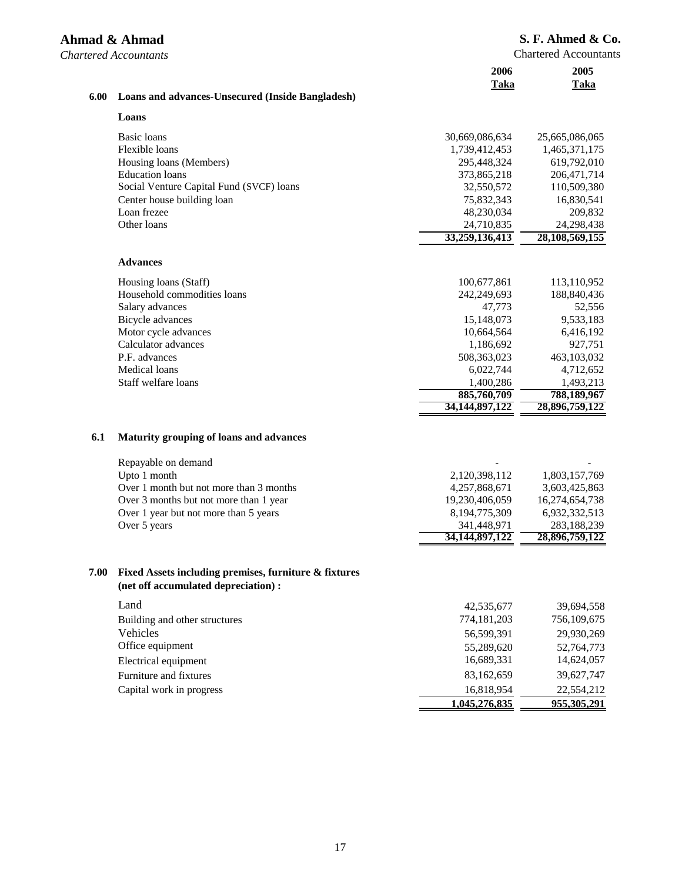|      | Ahmad & Ahmad<br><b>Chartered Accountants</b>                                                 |                               | S. F. Ahmed & C<br><b>Chartered Accountan</b> |
|------|-----------------------------------------------------------------------------------------------|-------------------------------|-----------------------------------------------|
|      |                                                                                               | 2006<br><b>Taka</b>           | 2005<br>Taka                                  |
| 6.00 | <b>Loans and advances-Unsecured (Inside Bangladesh)</b>                                       |                               |                                               |
|      | Loans                                                                                         |                               |                                               |
|      | Basic loans                                                                                   | 30,669,086,634                | 25,665,086,065                                |
|      | Flexible loans                                                                                | 1,739,412,453                 | 1,465,371,175                                 |
|      | Housing loans (Members)                                                                       | 295,448,324                   | 619,792,010                                   |
|      | <b>Education</b> loans                                                                        | 373,865,218                   | 206, 471, 714                                 |
|      | Social Venture Capital Fund (SVCF) loans                                                      | 32,550,572                    | 110,509,380                                   |
|      | Center house building loan                                                                    | 75,832,343                    | 16,830,541                                    |
|      | Loan frezee                                                                                   | 48,230,034                    | 209,832                                       |
|      | Other loans                                                                                   | 24,710,835<br>33,259,136,413  | 24,298,438<br>28,108,569,155                  |
|      | <b>Advances</b>                                                                               |                               |                                               |
|      |                                                                                               |                               |                                               |
|      | Housing loans (Staff)<br>Household commodities loans                                          | 100,677,861<br>242,249,693    | 113,110,952<br>188,840,436                    |
|      | Salary advances                                                                               | 47,773                        | 52,556                                        |
|      | Bicycle advances                                                                              | 15,148,073                    | 9,533,183                                     |
|      | Motor cycle advances                                                                          | 10,664,564                    | 6,416,192                                     |
|      | Calculator advances                                                                           | 1,186,692                     | 927,751                                       |
|      | P.F. advances                                                                                 | 508,363,023                   | 463,103,032                                   |
|      | Medical loans                                                                                 | 6,022,744                     | 4,712,652                                     |
|      | Staff welfare loans                                                                           | 1,400,286                     | 1,493,213                                     |
|      |                                                                                               | 885,760,709<br>34,144,897,122 | 788,189,967<br>28,896,759,122                 |
|      |                                                                                               |                               |                                               |
| 6.1  | Maturity grouping of loans and advances                                                       |                               |                                               |
|      | Repayable on demand                                                                           |                               |                                               |
|      | Upto 1 month                                                                                  | 2,120,398,112                 | 1,803,157,769                                 |
|      | Over 1 month but not more than 3 months                                                       | 4,257,868,671                 | 3,603,425,863                                 |
|      | Over 3 months but not more than 1 year                                                        | 19,230,406,059                | 16,274,654,738                                |
|      | Over 1 year but not more than 5 years                                                         | 8,194,775,309                 | 6,932,332,513                                 |
|      | Over 5 years                                                                                  | 341.448.971<br>34,144,897,122 | 283,188,239<br>28,896,759,122                 |
|      |                                                                                               |                               |                                               |
| 7.00 | Fixed Assets including premises, furniture & fixtures<br>(net off accumulated depreciation) : |                               |                                               |
|      | Land                                                                                          | 42,535,677                    | 39,694,558                                    |
|      | Building and other structures                                                                 | 774,181,203                   | 756,109,675                                   |
|      | Vehicles                                                                                      | 56,599,391                    | 29,930,269                                    |
|      | Office equipment                                                                              | 55,289,620                    | 52,764,773                                    |
|      | Electrical equipment                                                                          | 16,689,331                    | 14,624,057                                    |
|      | Furniture and fixtures                                                                        | 83,162,659                    | 39,627,747                                    |
|      | Capital work in progress                                                                      | 16,818,954                    | 22,554,212                                    |
|      |                                                                                               | 1,045,276,835                 | 955,305,291                                   |

## $\delta$  **O**.

nts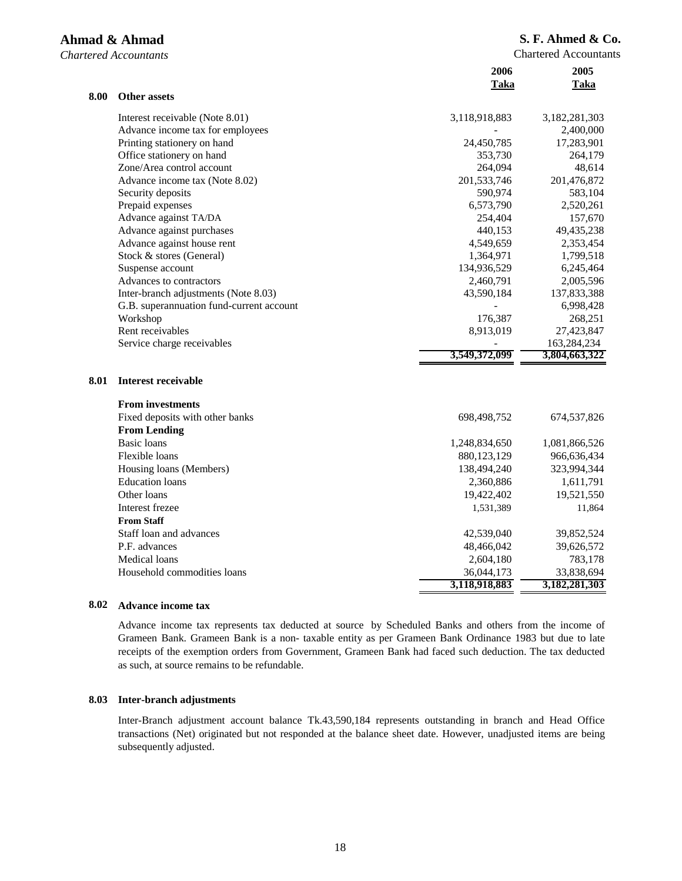## **S. F. Ahmed & Co.**

Chartered Accountants

|      |                                          | 2006          | 2005          |
|------|------------------------------------------|---------------|---------------|
|      |                                          | Taka          | Taka          |
| 8.00 | <b>Other assets</b>                      |               |               |
|      | Interest receivable (Note 8.01)          | 3,118,918,883 | 3,182,281,303 |
|      | Advance income tax for employees         |               | 2,400,000     |
|      | Printing stationery on hand              | 24,450,785    | 17,283,901    |
|      | Office stationery on hand                | 353,730       | 264,179       |
|      | Zone/Area control account                | 264,094       | 48,614        |
|      | Advance income tax (Note 8.02)           | 201,533,746   | 201,476,872   |
|      | Security deposits                        | 590,974       | 583,104       |
|      | Prepaid expenses                         | 6,573,790     | 2,520,261     |
|      | Advance against TA/DA                    | 254,404       | 157,670       |
|      | Advance against purchases                | 440,153       | 49,435,238    |
|      | Advance against house rent               | 4,549,659     | 2,353,454     |
|      | Stock & stores (General)                 | 1,364,971     | 1,799,518     |
|      | Suspense account                         | 134,936,529   | 6,245,464     |
|      | Advances to contractors                  | 2,460,791     | 2,005,596     |
|      | Inter-branch adjustments (Note 8.03)     | 43,590,184    | 137,833,388   |
|      | G.B. superannuation fund-current account |               | 6,998,428     |
|      | Workshop                                 | 176,387       | 268,251       |
|      | Rent receivables                         | 8,913,019     | 27,423,847    |
|      | Service charge receivables               |               | 163,284,234   |
|      |                                          | 3,549,372,099 | 3,804,663,322 |
| 8.01 | <b>Interest receivable</b>               |               |               |
|      | <b>From investments</b>                  |               |               |
|      | Fixed deposits with other banks          | 698,498,752   | 674,537,826   |
|      | <b>From Lending</b>                      |               |               |
|      | <b>Basic</b> loans                       | 1,248,834,650 | 1,081,866,526 |
|      | Flexible loans                           | 880,123,129   | 966,636,434   |
|      | Housing loans (Members)                  | 138,494,240   | 323,994,344   |
|      | <b>Education</b> loans                   | 2,360,886     | 1,611,791     |
|      | Other loans                              | 19,422,402    | 19,521,550    |
|      | Interest frezee                          | 1,531,389     | 11,864        |
|      | <b>From Staff</b>                        |               |               |
|      | Staff loan and advances                  | 42,539,040    | 39,852,524    |
|      | P.F. advances                            | 48,466,042    | 39,626,572    |
|      | Medical loans                            | 2,604,180     | 783,178       |
|      | Household commodities loans              | 36,044,173    | 33,838,694    |
|      |                                          | 3,118,918,883 | 3,182,281,303 |
|      |                                          |               |               |

#### **8.02 Advance income tax**

Advance income tax represents tax deducted at source by Scheduled Banks and others from the income of Grameen Bank. Grameen Bank is a non- taxable entity as per Grameen Bank Ordinance 1983 but due to late receipts of the exemption orders from Government, Grameen Bank had faced such deduction. The tax deducted as such, at source remains to be refundable.

#### **8.03 Inter-branch adjustments**

Inter-Branch adjustment account balance Tk.43,590,184 represents outstanding in branch and Head Office transactions (Net) originated but not responded at the balance sheet date. However, unadjusted items are being subsequently adjusted.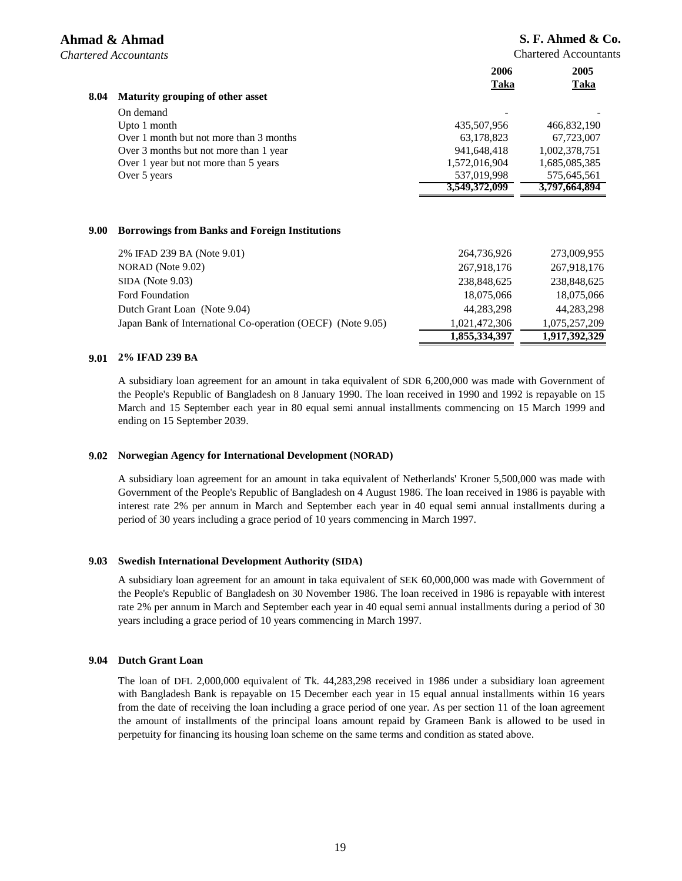Chartered Accountants

| 8.04 | Maturity grouping of other asset        | 2006<br>Taka  | 2005<br>Taka  |
|------|-----------------------------------------|---------------|---------------|
|      | On demand                               | ٠             |               |
|      | Upto 1 month                            | 435,507,956   | 466,832,190   |
|      | Over 1 month but not more than 3 months | 63,178,823    | 67,723,007    |
|      | Over 3 months but not more than 1 year  | 941,648,418   | 1,002,378,751 |
|      | Over 1 year but not more than 5 years   | 1,572,016,904 | 1,685,085,385 |
|      | Over 5 years                            | 537,019,998   | 575,645,561   |
|      |                                         | 3,549,372,099 | 3,797,664,894 |
|      |                                         |               |               |

#### **9.00 Borrowings from Banks and Foreign Institutions**

|                                                             | 1,855,334,397 | 1,917,392,329 |
|-------------------------------------------------------------|---------------|---------------|
| Japan Bank of International Co-operation (OECF) (Note 9.05) | 1.021.472.306 | 1.075.257.209 |
| Dutch Grant Loan (Note 9.04)                                | 44,283,298    | 44,283,298    |
| <b>Ford Foundation</b>                                      | 18,075,066    | 18,075,066    |
| SIDA (Note 9.03)                                            | 238,848,625   | 238,848,625   |
| NORAD (Note 9.02)                                           | 267.918.176   | 267,918,176   |
| 2% IFAD 239 BA (Note 9.01)                                  | 264,736,926   | 273,009,955   |
|                                                             |               |               |

#### **9.01 2% IFAD 239 BA**

A subsidiary loan agreement for an amount in taka equivalent of SDR 6,200,000 was made with Government of the People's Republic of Bangladesh on 8 January 1990. The loan received in 1990 and 1992 is repayable on 15 March and 15 September each year in 80 equal semi annual installments commencing on 15 March 1999 and ending on 15 September 2039.

#### **9.02 Norwegian Agency for International Development (NORAD)**

A subsidiary loan agreement for an amount in taka equivalent of Netherlands' Kroner 5,500,000 was made with Government of the People's Republic of Bangladesh on 4 August 1986. The loan received in 1986 is payable with interest rate 2% per annum in March and September each year in 40 equal semi annual installments during a period of 30 years including a grace period of 10 years commencing in March 1997.

#### **9.03 Swedish International Development Authority (SIDA)**

A subsidiary loan agreement for an amount in taka equivalent of SEK 60,000,000 was made with Government of the People's Republic of Bangladesh on 30 November 1986. The loan received in 1986 is repayable with interest rate 2% per annum in March and September each year in 40 equal semi annual installments during a period of 30 years including a grace period of 10 years commencing in March 1997.

#### **9.04 Dutch Grant Loan**

The loan of DFL 2,000,000 equivalent of Tk. 44,283,298 received in 1986 under a subsidiary loan agreement with Bangladesh Bank is repayable on 15 December each year in 15 equal annual installments within 16 years from the date of receiving the loan including a grace period of one year. As per section 11 of the loan agreement the amount of installments of the principal loans amount repaid by Grameen Bank is allowed to be used in perpetuity for financing its housing loan scheme on the same terms and condition as stated above.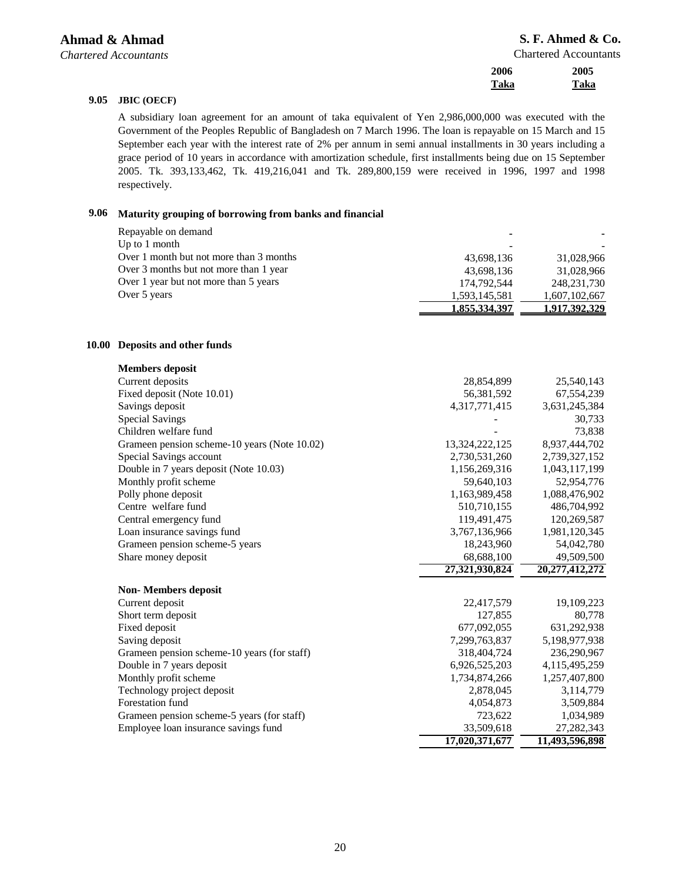Chartered Accountants

| 2006 | 2005 |
|------|------|
| Taka | Taka |

#### **9.05 JBIC (OECF)**

A subsidiary loan agreement for an amount of taka equivalent of Yen 2,986,000,000 was executed with the Government of the Peoples Republic of Bangladesh on 7 March 1996. The loan is repayable on 15 March and 15 September each year with the interest rate of 2% per annum in semi annual installments in 30 years including a grace period of 10 years in accordance with amortization schedule, first installments being due on 15 September 2005. Tk. 393,133,462, Tk. 419,216,041 and Tk. 289,800,159 were received in 1996, 1997 and 1998 respectively.

## **9.06 Maturity grouping of borrowing from banks and financial**

|              | Repayable on demand                                      |                |                |
|--------------|----------------------------------------------------------|----------------|----------------|
|              | Up to 1 month<br>Over 1 month but not more than 3 months |                |                |
|              | Over 3 months but not more than 1 year                   | 43,698,136     | 31,028,966     |
|              | Over 1 year but not more than 5 years                    | 43,698,136     | 31,028,966     |
|              | Over 5 years                                             | 174,792,544    | 248,231,730    |
|              |                                                          | 1,593,145,581  | 1,607,102,667  |
|              |                                                          | 1,855,334,397  | 1,917,392,329  |
| <b>10.00</b> | Deposits and other funds                                 |                |                |
|              | <b>Members</b> deposit                                   |                |                |
|              | Current deposits                                         | 28,854,899     | 25,540,143     |
|              | Fixed deposit (Note 10.01)                               | 56,381,592     | 67,554,239     |
|              | Savings deposit                                          | 4,317,771,415  | 3,631,245,384  |
|              | <b>Special Savings</b>                                   |                | 30,733         |
|              | Children welfare fund                                    |                | 73,838         |
|              | Grameen pension scheme-10 years (Note 10.02)             | 13,324,222,125 | 8,937,444,702  |
|              | Special Savings account                                  | 2,730,531,260  | 2,739,327,152  |
|              | Double in 7 years deposit (Note 10.03)                   | 1,156,269,316  | 1,043,117,199  |
|              | Monthly profit scheme                                    | 59,640,103     | 52,954,776     |
|              | Polly phone deposit                                      | 1,163,989,458  | 1,088,476,902  |
|              | Centre welfare fund                                      | 510,710,155    | 486,704,992    |
|              | Central emergency fund                                   | 119,491,475    | 120,269,587    |
|              | Loan insurance savings fund                              | 3,767,136,966  | 1,981,120,345  |
|              | Grameen pension scheme-5 years                           | 18,243,960     | 54,042,780     |
|              | Share money deposit                                      | 68,688,100     | 49,509,500     |
|              |                                                          | 27,321,930,824 | 20,277,412,272 |
|              | <b>Non-Members deposit</b>                               |                |                |
|              | Current deposit                                          | 22,417,579     | 19,109,223     |
|              | Short term deposit                                       | 127,855        | 80,778         |
|              | Fixed deposit                                            | 677,092,055    | 631,292,938    |
|              | Saving deposit                                           | 7,299,763,837  | 5,198,977,938  |
|              | Grameen pension scheme-10 years (for staff)              | 318,404,724    | 236,290,967    |
|              | Double in 7 years deposit                                | 6,926,525,203  | 4,115,495,259  |
|              | Monthly profit scheme                                    | 1,734,874,266  | 1,257,407,800  |
|              | Technology project deposit                               | 2,878,045      | 3,114,779      |
|              | Forestation fund                                         | 4,054,873      | 3,509,884      |
|              | Grameen pension scheme-5 years (for staff)               | 723,622        | 1,034,989      |
|              | Employee loan insurance savings fund                     | 33,509,618     | 27, 282, 343   |
|              |                                                          | 17,020,371,677 | 11,493,596,898 |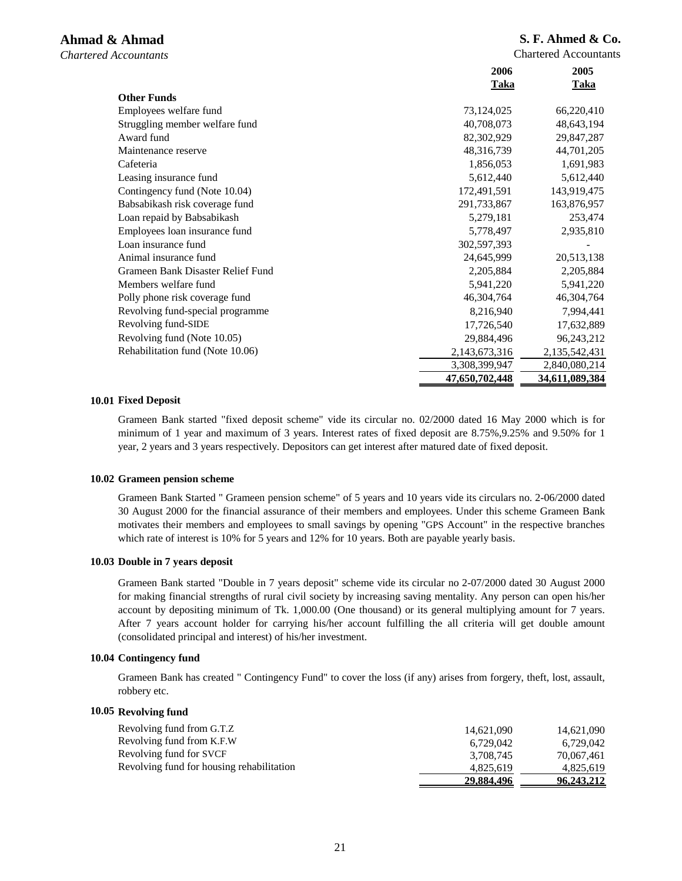Chartered Accountants

|                                   | 2006           | 2005           |
|-----------------------------------|----------------|----------------|
|                                   | <b>Taka</b>    | <b>Taka</b>    |
| <b>Other Funds</b>                |                |                |
| Employees welfare fund            | 73,124,025     | 66,220,410     |
| Struggling member welfare fund    | 40,708,073     | 48,643,194     |
| Award fund                        | 82,302,929     | 29,847,287     |
| Maintenance reserve               | 48,316,739     | 44,701,205     |
| Cafeteria                         | 1,856,053      | 1,691,983      |
| Leasing insurance fund            | 5,612,440      | 5,612,440      |
| Contingency fund (Note 10.04)     | 172,491,591    | 143,919,475    |
| Babsabikash risk coverage fund    | 291,733,867    | 163,876,957    |
| Loan repaid by Babsabikash        | 5,279,181      | 253,474        |
| Employees loan insurance fund     | 5,778,497      | 2,935,810      |
| Loan insurance fund               | 302,597,393    |                |
| Animal insurance fund             | 24,645,999     | 20,513,138     |
| Grameen Bank Disaster Relief Fund | 2,205,884      | 2,205,884      |
| Members welfare fund              | 5,941,220      | 5,941,220      |
| Polly phone risk coverage fund    | 46,304,764     | 46,304,764     |
| Revolving fund-special programme  | 8,216,940      | 7,994,441      |
| Revolving fund-SIDE               | 17,726,540     | 17,632,889     |
| Revolving fund (Note 10.05)       | 29,884,496     | 96,243,212     |
| Rehabilitation fund (Note 10.06)  | 2,143,673,316  | 2,135,542,431  |
|                                   | 3,308,399,947  | 2,840,080,214  |
|                                   | 47,650,702,448 | 34,611,089,384 |

#### **10.01 Fixed Deposit**

Grameen Bank started "fixed deposit scheme" vide its circular no. 02/2000 dated 16 May 2000 which is for minimum of 1 year and maximum of 3 years. Interest rates of fixed deposit are 8.75%,9.25% and 9.50% for 1 year, 2 years and 3 years respectively. Depositors can get interest after matured date of fixed deposit.

#### **10.02 Grameen pension scheme**

Grameen Bank Started " Grameen pension scheme" of 5 years and 10 years vide its circulars no. 2-06/2000 dated 30 August 2000 for the financial assurance of their members and employees. Under this scheme Grameen Bank motivates their members and employees to small savings by opening "GPS Account" in the respective branches which rate of interest is 10% for 5 years and 12% for 10 years. Both are payable yearly basis.

#### **10.03 Double in 7 years deposit**

Grameen Bank started "Double in 7 years deposit" scheme vide its circular no 2-07/2000 dated 30 August 2000 for making financial strengths of rural civil society by increasing saving mentality. Any person can open his/her account by depositing minimum of Tk. 1,000.00 (One thousand) or its general multiplying amount for 7 years. After 7 years account holder for carrying his/her account fulfilling the all criteria will get double amount (consolidated principal and interest) of his/her investment.

#### **10.04 Contingency fund**

Grameen Bank has created " Contingency Fund" to cover the loss (if any) arises from forgery, theft, lost, assault, robbery etc.

#### **10.05 Revolving fund**

| Revolving fund from G.T.Z                 | 14.621.090 | 14,621,090 |
|-------------------------------------------|------------|------------|
| Revolving fund from K.F.W.                | 6.729.042  | 6.729.042  |
| Revolving fund for SVCF                   | 3.708.745  | 70.067.461 |
| Revolving fund for housing rehabilitation | 4.825.619  | 4.825.619  |
|                                           | 29.884.496 | 96,243,212 |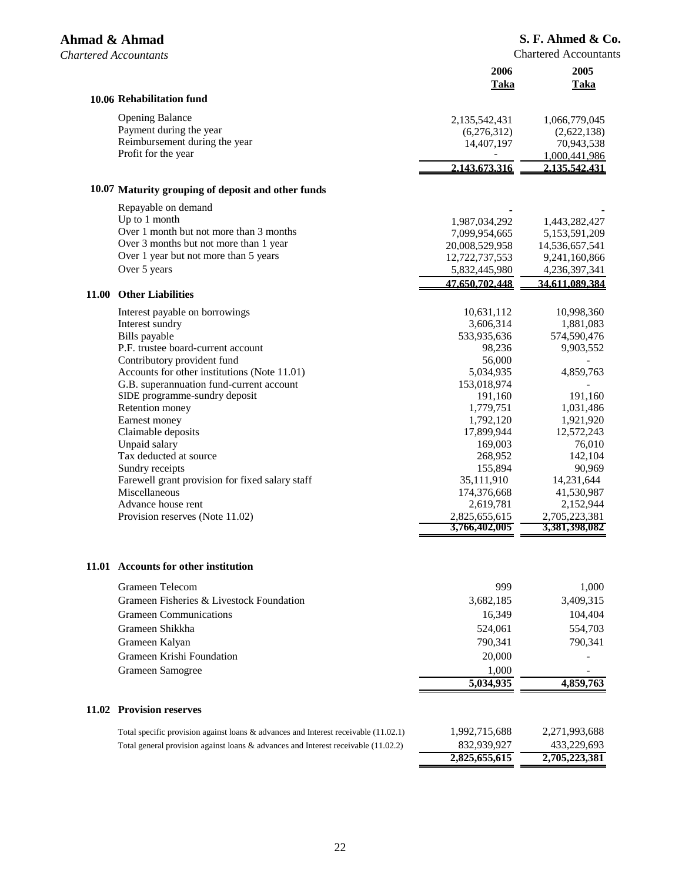| 10.06 Rehabilitation fund<br><b>Opening Balance</b><br>2,135,542,431<br>1,066,779,045<br>Payment during the year<br>(6,276,312)<br>(2,622,138)<br>Reimbursement during the year<br>14,407,197<br>70,943,538<br>Profit for the year<br>1,000,441,986<br>2.143.673.316<br>2.135.542.431<br>10.07 Maturity grouping of deposit and other funds<br>Repayable on demand<br>Up to 1 month<br>1,443,282,427<br>1,987,034,292<br>Over 1 month but not more than 3 months<br>7,099,954,665<br>5,153,591,209<br>Over 3 months but not more than 1 year<br>20,008,529,958<br>14,536,657,541<br>Over 1 year but not more than 5 years<br>12,722,737,553<br>9,241,160,866<br>Over 5 years<br>5,832,445,980<br>4,236,397,341<br>47.650.702.448<br>34.611.089.384<br>11.00<br><b>Other Liabilities</b><br>10,631,112<br>10,998,360<br>Interest payable on borrowings<br>Interest sundry<br>3,606,314<br>1,881,083<br>Bills payable<br>533,935,636<br>574,590,476<br>P.F. trustee board-current account<br>98,236<br>9,903,552<br>Contributory provident fund<br>56,000<br>Accounts for other institutions (Note 11.01)<br>5,034,935<br>4,859,763<br>G.B. superannuation fund-current account<br>153,018,974<br>SIDE programme-sundry deposit<br>191,160<br>191,160<br>Retention money<br>1,779,751<br>1,031,486<br>1,921,920<br>Earnest money<br>1,792,120<br>Claimable deposits<br>17,899,944<br>12,572,243<br>76,010<br>Unpaid salary<br>169,003<br>Tax deducted at source<br>268,952<br>142,104<br>155,894<br>90,969<br>Sundry receipts<br>Farewell grant provision for fixed salary staff<br>14,231,644<br>35,111,910<br>Miscellaneous<br>174,376,668<br>41,530,987<br>Advance house rent<br>2,619,781<br>2,152,944<br>2,705,223,381<br>2,825,655,615<br>Provision reserves (Note 11.02)<br>3,766,402,005<br>3,381,398,082<br>11.01 Accounts for other institution<br>Grameen Telecom<br>999<br>1,000<br>3,409,315<br>Grameen Fisheries & Livestock Foundation<br>3,682,185<br><b>Grameen Communications</b><br>16,349<br>104,404<br>Grameen Shikkha<br>524,061<br>554,703<br>Grameen Kalyan<br>790,341<br>790,341<br>Grameen Krishi Foundation<br>20,000<br>Grameen Samogree<br>1,000<br>5,034,935<br>4,859,763<br><b>Provision reserves</b><br>11.02<br>1,992,715,688<br>2,271,993,688<br>Total specific provision against loans $\&$ advances and Interest receivable (11.02.1)<br>433,229,693<br>832,939,927<br>Total general provision against loans & advances and Interest receivable (11.02.2)<br>2,825,655,615<br>2,705,223,381 |  | 2006<br>Taka | 2005<br>Taka |
|-------------------------------------------------------------------------------------------------------------------------------------------------------------------------------------------------------------------------------------------------------------------------------------------------------------------------------------------------------------------------------------------------------------------------------------------------------------------------------------------------------------------------------------------------------------------------------------------------------------------------------------------------------------------------------------------------------------------------------------------------------------------------------------------------------------------------------------------------------------------------------------------------------------------------------------------------------------------------------------------------------------------------------------------------------------------------------------------------------------------------------------------------------------------------------------------------------------------------------------------------------------------------------------------------------------------------------------------------------------------------------------------------------------------------------------------------------------------------------------------------------------------------------------------------------------------------------------------------------------------------------------------------------------------------------------------------------------------------------------------------------------------------------------------------------------------------------------------------------------------------------------------------------------------------------------------------------------------------------------------------------------------------------------------------------------------------------------------------------------------------------------------------------------------------------------------------------------------------------------------------------------------------------------------------------------------------------------------------------------------------------------------------------------------------------------------------------------------------------------------------------------------------------|--|--------------|--------------|
|                                                                                                                                                                                                                                                                                                                                                                                                                                                                                                                                                                                                                                                                                                                                                                                                                                                                                                                                                                                                                                                                                                                                                                                                                                                                                                                                                                                                                                                                                                                                                                                                                                                                                                                                                                                                                                                                                                                                                                                                                                                                                                                                                                                                                                                                                                                                                                                                                                                                                                                               |  |              |              |
|                                                                                                                                                                                                                                                                                                                                                                                                                                                                                                                                                                                                                                                                                                                                                                                                                                                                                                                                                                                                                                                                                                                                                                                                                                                                                                                                                                                                                                                                                                                                                                                                                                                                                                                                                                                                                                                                                                                                                                                                                                                                                                                                                                                                                                                                                                                                                                                                                                                                                                                               |  |              |              |
|                                                                                                                                                                                                                                                                                                                                                                                                                                                                                                                                                                                                                                                                                                                                                                                                                                                                                                                                                                                                                                                                                                                                                                                                                                                                                                                                                                                                                                                                                                                                                                                                                                                                                                                                                                                                                                                                                                                                                                                                                                                                                                                                                                                                                                                                                                                                                                                                                                                                                                                               |  |              |              |
|                                                                                                                                                                                                                                                                                                                                                                                                                                                                                                                                                                                                                                                                                                                                                                                                                                                                                                                                                                                                                                                                                                                                                                                                                                                                                                                                                                                                                                                                                                                                                                                                                                                                                                                                                                                                                                                                                                                                                                                                                                                                                                                                                                                                                                                                                                                                                                                                                                                                                                                               |  |              |              |
|                                                                                                                                                                                                                                                                                                                                                                                                                                                                                                                                                                                                                                                                                                                                                                                                                                                                                                                                                                                                                                                                                                                                                                                                                                                                                                                                                                                                                                                                                                                                                                                                                                                                                                                                                                                                                                                                                                                                                                                                                                                                                                                                                                                                                                                                                                                                                                                                                                                                                                                               |  |              |              |
|                                                                                                                                                                                                                                                                                                                                                                                                                                                                                                                                                                                                                                                                                                                                                                                                                                                                                                                                                                                                                                                                                                                                                                                                                                                                                                                                                                                                                                                                                                                                                                                                                                                                                                                                                                                                                                                                                                                                                                                                                                                                                                                                                                                                                                                                                                                                                                                                                                                                                                                               |  |              |              |
|                                                                                                                                                                                                                                                                                                                                                                                                                                                                                                                                                                                                                                                                                                                                                                                                                                                                                                                                                                                                                                                                                                                                                                                                                                                                                                                                                                                                                                                                                                                                                                                                                                                                                                                                                                                                                                                                                                                                                                                                                                                                                                                                                                                                                                                                                                                                                                                                                                                                                                                               |  |              |              |
|                                                                                                                                                                                                                                                                                                                                                                                                                                                                                                                                                                                                                                                                                                                                                                                                                                                                                                                                                                                                                                                                                                                                                                                                                                                                                                                                                                                                                                                                                                                                                                                                                                                                                                                                                                                                                                                                                                                                                                                                                                                                                                                                                                                                                                                                                                                                                                                                                                                                                                                               |  |              |              |
|                                                                                                                                                                                                                                                                                                                                                                                                                                                                                                                                                                                                                                                                                                                                                                                                                                                                                                                                                                                                                                                                                                                                                                                                                                                                                                                                                                                                                                                                                                                                                                                                                                                                                                                                                                                                                                                                                                                                                                                                                                                                                                                                                                                                                                                                                                                                                                                                                                                                                                                               |  |              |              |
|                                                                                                                                                                                                                                                                                                                                                                                                                                                                                                                                                                                                                                                                                                                                                                                                                                                                                                                                                                                                                                                                                                                                                                                                                                                                                                                                                                                                                                                                                                                                                                                                                                                                                                                                                                                                                                                                                                                                                                                                                                                                                                                                                                                                                                                                                                                                                                                                                                                                                                                               |  |              |              |
|                                                                                                                                                                                                                                                                                                                                                                                                                                                                                                                                                                                                                                                                                                                                                                                                                                                                                                                                                                                                                                                                                                                                                                                                                                                                                                                                                                                                                                                                                                                                                                                                                                                                                                                                                                                                                                                                                                                                                                                                                                                                                                                                                                                                                                                                                                                                                                                                                                                                                                                               |  |              |              |
|                                                                                                                                                                                                                                                                                                                                                                                                                                                                                                                                                                                                                                                                                                                                                                                                                                                                                                                                                                                                                                                                                                                                                                                                                                                                                                                                                                                                                                                                                                                                                                                                                                                                                                                                                                                                                                                                                                                                                                                                                                                                                                                                                                                                                                                                                                                                                                                                                                                                                                                               |  |              |              |
|                                                                                                                                                                                                                                                                                                                                                                                                                                                                                                                                                                                                                                                                                                                                                                                                                                                                                                                                                                                                                                                                                                                                                                                                                                                                                                                                                                                                                                                                                                                                                                                                                                                                                                                                                                                                                                                                                                                                                                                                                                                                                                                                                                                                                                                                                                                                                                                                                                                                                                                               |  |              |              |
|                                                                                                                                                                                                                                                                                                                                                                                                                                                                                                                                                                                                                                                                                                                                                                                                                                                                                                                                                                                                                                                                                                                                                                                                                                                                                                                                                                                                                                                                                                                                                                                                                                                                                                                                                                                                                                                                                                                                                                                                                                                                                                                                                                                                                                                                                                                                                                                                                                                                                                                               |  |              |              |
|                                                                                                                                                                                                                                                                                                                                                                                                                                                                                                                                                                                                                                                                                                                                                                                                                                                                                                                                                                                                                                                                                                                                                                                                                                                                                                                                                                                                                                                                                                                                                                                                                                                                                                                                                                                                                                                                                                                                                                                                                                                                                                                                                                                                                                                                                                                                                                                                                                                                                                                               |  |              |              |
|                                                                                                                                                                                                                                                                                                                                                                                                                                                                                                                                                                                                                                                                                                                                                                                                                                                                                                                                                                                                                                                                                                                                                                                                                                                                                                                                                                                                                                                                                                                                                                                                                                                                                                                                                                                                                                                                                                                                                                                                                                                                                                                                                                                                                                                                                                                                                                                                                                                                                                                               |  |              |              |
|                                                                                                                                                                                                                                                                                                                                                                                                                                                                                                                                                                                                                                                                                                                                                                                                                                                                                                                                                                                                                                                                                                                                                                                                                                                                                                                                                                                                                                                                                                                                                                                                                                                                                                                                                                                                                                                                                                                                                                                                                                                                                                                                                                                                                                                                                                                                                                                                                                                                                                                               |  |              |              |
|                                                                                                                                                                                                                                                                                                                                                                                                                                                                                                                                                                                                                                                                                                                                                                                                                                                                                                                                                                                                                                                                                                                                                                                                                                                                                                                                                                                                                                                                                                                                                                                                                                                                                                                                                                                                                                                                                                                                                                                                                                                                                                                                                                                                                                                                                                                                                                                                                                                                                                                               |  |              |              |
|                                                                                                                                                                                                                                                                                                                                                                                                                                                                                                                                                                                                                                                                                                                                                                                                                                                                                                                                                                                                                                                                                                                                                                                                                                                                                                                                                                                                                                                                                                                                                                                                                                                                                                                                                                                                                                                                                                                                                                                                                                                                                                                                                                                                                                                                                                                                                                                                                                                                                                                               |  |              |              |
|                                                                                                                                                                                                                                                                                                                                                                                                                                                                                                                                                                                                                                                                                                                                                                                                                                                                                                                                                                                                                                                                                                                                                                                                                                                                                                                                                                                                                                                                                                                                                                                                                                                                                                                                                                                                                                                                                                                                                                                                                                                                                                                                                                                                                                                                                                                                                                                                                                                                                                                               |  |              |              |
|                                                                                                                                                                                                                                                                                                                                                                                                                                                                                                                                                                                                                                                                                                                                                                                                                                                                                                                                                                                                                                                                                                                                                                                                                                                                                                                                                                                                                                                                                                                                                                                                                                                                                                                                                                                                                                                                                                                                                                                                                                                                                                                                                                                                                                                                                                                                                                                                                                                                                                                               |  |              |              |
|                                                                                                                                                                                                                                                                                                                                                                                                                                                                                                                                                                                                                                                                                                                                                                                                                                                                                                                                                                                                                                                                                                                                                                                                                                                                                                                                                                                                                                                                                                                                                                                                                                                                                                                                                                                                                                                                                                                                                                                                                                                                                                                                                                                                                                                                                                                                                                                                                                                                                                                               |  |              |              |
|                                                                                                                                                                                                                                                                                                                                                                                                                                                                                                                                                                                                                                                                                                                                                                                                                                                                                                                                                                                                                                                                                                                                                                                                                                                                                                                                                                                                                                                                                                                                                                                                                                                                                                                                                                                                                                                                                                                                                                                                                                                                                                                                                                                                                                                                                                                                                                                                                                                                                                                               |  |              |              |
|                                                                                                                                                                                                                                                                                                                                                                                                                                                                                                                                                                                                                                                                                                                                                                                                                                                                                                                                                                                                                                                                                                                                                                                                                                                                                                                                                                                                                                                                                                                                                                                                                                                                                                                                                                                                                                                                                                                                                                                                                                                                                                                                                                                                                                                                                                                                                                                                                                                                                                                               |  |              |              |
|                                                                                                                                                                                                                                                                                                                                                                                                                                                                                                                                                                                                                                                                                                                                                                                                                                                                                                                                                                                                                                                                                                                                                                                                                                                                                                                                                                                                                                                                                                                                                                                                                                                                                                                                                                                                                                                                                                                                                                                                                                                                                                                                                                                                                                                                                                                                                                                                                                                                                                                               |  |              |              |
|                                                                                                                                                                                                                                                                                                                                                                                                                                                                                                                                                                                                                                                                                                                                                                                                                                                                                                                                                                                                                                                                                                                                                                                                                                                                                                                                                                                                                                                                                                                                                                                                                                                                                                                                                                                                                                                                                                                                                                                                                                                                                                                                                                                                                                                                                                                                                                                                                                                                                                                               |  |              |              |
|                                                                                                                                                                                                                                                                                                                                                                                                                                                                                                                                                                                                                                                                                                                                                                                                                                                                                                                                                                                                                                                                                                                                                                                                                                                                                                                                                                                                                                                                                                                                                                                                                                                                                                                                                                                                                                                                                                                                                                                                                                                                                                                                                                                                                                                                                                                                                                                                                                                                                                                               |  |              |              |
|                                                                                                                                                                                                                                                                                                                                                                                                                                                                                                                                                                                                                                                                                                                                                                                                                                                                                                                                                                                                                                                                                                                                                                                                                                                                                                                                                                                                                                                                                                                                                                                                                                                                                                                                                                                                                                                                                                                                                                                                                                                                                                                                                                                                                                                                                                                                                                                                                                                                                                                               |  |              |              |
|                                                                                                                                                                                                                                                                                                                                                                                                                                                                                                                                                                                                                                                                                                                                                                                                                                                                                                                                                                                                                                                                                                                                                                                                                                                                                                                                                                                                                                                                                                                                                                                                                                                                                                                                                                                                                                                                                                                                                                                                                                                                                                                                                                                                                                                                                                                                                                                                                                                                                                                               |  |              |              |
|                                                                                                                                                                                                                                                                                                                                                                                                                                                                                                                                                                                                                                                                                                                                                                                                                                                                                                                                                                                                                                                                                                                                                                                                                                                                                                                                                                                                                                                                                                                                                                                                                                                                                                                                                                                                                                                                                                                                                                                                                                                                                                                                                                                                                                                                                                                                                                                                                                                                                                                               |  |              |              |
|                                                                                                                                                                                                                                                                                                                                                                                                                                                                                                                                                                                                                                                                                                                                                                                                                                                                                                                                                                                                                                                                                                                                                                                                                                                                                                                                                                                                                                                                                                                                                                                                                                                                                                                                                                                                                                                                                                                                                                                                                                                                                                                                                                                                                                                                                                                                                                                                                                                                                                                               |  |              |              |
|                                                                                                                                                                                                                                                                                                                                                                                                                                                                                                                                                                                                                                                                                                                                                                                                                                                                                                                                                                                                                                                                                                                                                                                                                                                                                                                                                                                                                                                                                                                                                                                                                                                                                                                                                                                                                                                                                                                                                                                                                                                                                                                                                                                                                                                                                                                                                                                                                                                                                                                               |  |              |              |
|                                                                                                                                                                                                                                                                                                                                                                                                                                                                                                                                                                                                                                                                                                                                                                                                                                                                                                                                                                                                                                                                                                                                                                                                                                                                                                                                                                                                                                                                                                                                                                                                                                                                                                                                                                                                                                                                                                                                                                                                                                                                                                                                                                                                                                                                                                                                                                                                                                                                                                                               |  |              |              |
|                                                                                                                                                                                                                                                                                                                                                                                                                                                                                                                                                                                                                                                                                                                                                                                                                                                                                                                                                                                                                                                                                                                                                                                                                                                                                                                                                                                                                                                                                                                                                                                                                                                                                                                                                                                                                                                                                                                                                                                                                                                                                                                                                                                                                                                                                                                                                                                                                                                                                                                               |  |              |              |
|                                                                                                                                                                                                                                                                                                                                                                                                                                                                                                                                                                                                                                                                                                                                                                                                                                                                                                                                                                                                                                                                                                                                                                                                                                                                                                                                                                                                                                                                                                                                                                                                                                                                                                                                                                                                                                                                                                                                                                                                                                                                                                                                                                                                                                                                                                                                                                                                                                                                                                                               |  |              |              |
|                                                                                                                                                                                                                                                                                                                                                                                                                                                                                                                                                                                                                                                                                                                                                                                                                                                                                                                                                                                                                                                                                                                                                                                                                                                                                                                                                                                                                                                                                                                                                                                                                                                                                                                                                                                                                                                                                                                                                                                                                                                                                                                                                                                                                                                                                                                                                                                                                                                                                                                               |  |              |              |
|                                                                                                                                                                                                                                                                                                                                                                                                                                                                                                                                                                                                                                                                                                                                                                                                                                                                                                                                                                                                                                                                                                                                                                                                                                                                                                                                                                                                                                                                                                                                                                                                                                                                                                                                                                                                                                                                                                                                                                                                                                                                                                                                                                                                                                                                                                                                                                                                                                                                                                                               |  |              |              |
|                                                                                                                                                                                                                                                                                                                                                                                                                                                                                                                                                                                                                                                                                                                                                                                                                                                                                                                                                                                                                                                                                                                                                                                                                                                                                                                                                                                                                                                                                                                                                                                                                                                                                                                                                                                                                                                                                                                                                                                                                                                                                                                                                                                                                                                                                                                                                                                                                                                                                                                               |  |              |              |
|                                                                                                                                                                                                                                                                                                                                                                                                                                                                                                                                                                                                                                                                                                                                                                                                                                                                                                                                                                                                                                                                                                                                                                                                                                                                                                                                                                                                                                                                                                                                                                                                                                                                                                                                                                                                                                                                                                                                                                                                                                                                                                                                                                                                                                                                                                                                                                                                                                                                                                                               |  |              |              |
|                                                                                                                                                                                                                                                                                                                                                                                                                                                                                                                                                                                                                                                                                                                                                                                                                                                                                                                                                                                                                                                                                                                                                                                                                                                                                                                                                                                                                                                                                                                                                                                                                                                                                                                                                                                                                                                                                                                                                                                                                                                                                                                                                                                                                                                                                                                                                                                                                                                                                                                               |  |              |              |
|                                                                                                                                                                                                                                                                                                                                                                                                                                                                                                                                                                                                                                                                                                                                                                                                                                                                                                                                                                                                                                                                                                                                                                                                                                                                                                                                                                                                                                                                                                                                                                                                                                                                                                                                                                                                                                                                                                                                                                                                                                                                                                                                                                                                                                                                                                                                                                                                                                                                                                                               |  |              |              |
|                                                                                                                                                                                                                                                                                                                                                                                                                                                                                                                                                                                                                                                                                                                                                                                                                                                                                                                                                                                                                                                                                                                                                                                                                                                                                                                                                                                                                                                                                                                                                                                                                                                                                                                                                                                                                                                                                                                                                                                                                                                                                                                                                                                                                                                                                                                                                                                                                                                                                                                               |  |              |              |
|                                                                                                                                                                                                                                                                                                                                                                                                                                                                                                                                                                                                                                                                                                                                                                                                                                                                                                                                                                                                                                                                                                                                                                                                                                                                                                                                                                                                                                                                                                                                                                                                                                                                                                                                                                                                                                                                                                                                                                                                                                                                                                                                                                                                                                                                                                                                                                                                                                                                                                                               |  |              |              |
|                                                                                                                                                                                                                                                                                                                                                                                                                                                                                                                                                                                                                                                                                                                                                                                                                                                                                                                                                                                                                                                                                                                                                                                                                                                                                                                                                                                                                                                                                                                                                                                                                                                                                                                                                                                                                                                                                                                                                                                                                                                                                                                                                                                                                                                                                                                                                                                                                                                                                                                               |  |              |              |
|                                                                                                                                                                                                                                                                                                                                                                                                                                                                                                                                                                                                                                                                                                                                                                                                                                                                                                                                                                                                                                                                                                                                                                                                                                                                                                                                                                                                                                                                                                                                                                                                                                                                                                                                                                                                                                                                                                                                                                                                                                                                                                                                                                                                                                                                                                                                                                                                                                                                                                                               |  |              |              |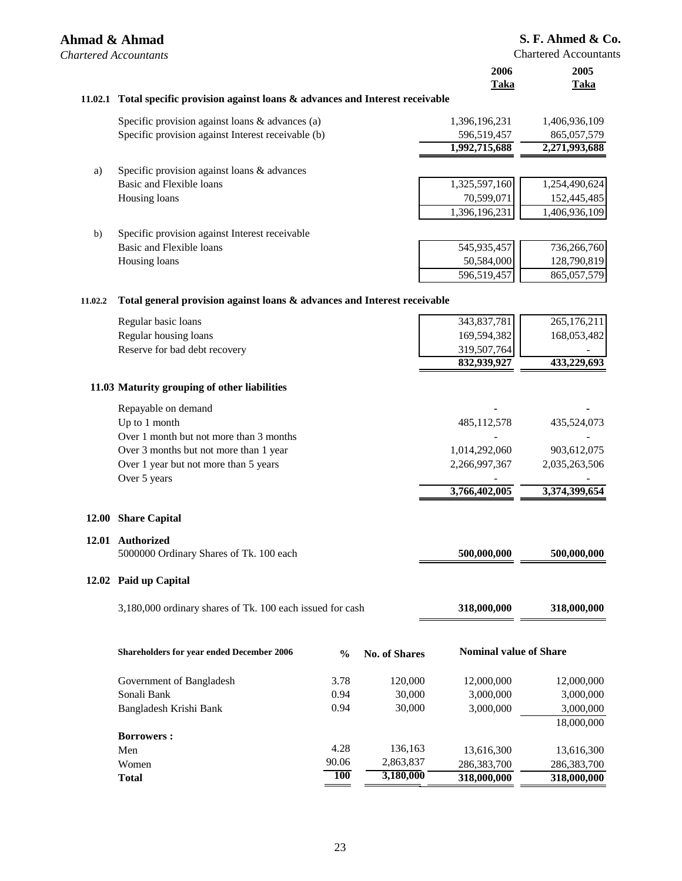# **Ahmad & Ahmad** *Chartered Accountants*  **11.02.1 Total specific provision against loans & advances and Interest receivable** Specific provision against loans & advances (a) 1,396,196,231 1,406,936,109 Specific provision against Interest receivable (b) 596,519,457 865,057,579

|              |                                                | 1,992,715,688 | 2,271,993,688 |
|--------------|------------------------------------------------|---------------|---------------|
| a)           | Specific provision against loans & advances    |               |               |
|              | Basic and Flexible loans                       | 1,325,597,160 | 1,254,490,624 |
|              | Housing loans                                  | 70,599,071    | 152,445,485   |
|              |                                                | 1,396,196,231 | 1,406,936,109 |
| $\mathbf{b}$ | Specific provision against Interest receivable |               |               |

Basic and Flexible loans Housing loans

| 736,266,760 |
|-------------|
| 128,790,819 |
| 865,057,579 |
|             |

#### **11.02.2 Total general provision against loans & advances and Interest receivable**

|       | <b>Total</b>                                                 | <b>100</b>    | 3,180,000            | 318,000,000                   | 318,000,000   |
|-------|--------------------------------------------------------------|---------------|----------------------|-------------------------------|---------------|
|       | Women                                                        | 90.06         | 2,863,837            | 286,383,700                   | 286,383,700   |
|       | Men                                                          | 4.28          | 136,163              | 13,616,300                    | 13,616,300    |
|       | <b>Borrowers:</b>                                            |               |                      |                               |               |
|       |                                                              |               |                      |                               | 18,000,000    |
|       | Bangladesh Krishi Bank                                       | 0.94          | 30,000               | 3,000,000                     | 3,000,000     |
|       | Sonali Bank                                                  | 0.94          | 30,000               | 3,000,000                     | 3,000,000     |
|       | Government of Bangladesh                                     | 3.78          | 120,000              | 12,000,000                    | 12,000,000    |
|       | <b>Shareholders for year ended December 2006</b>             | $\frac{0}{0}$ | <b>No. of Shares</b> | <b>Nominal value of Share</b> |               |
|       | 3,180,000 ordinary shares of Tk. 100 each issued for cash    |               |                      | 318,000,000                   | 318,000,000   |
| 12.02 | Paid up Capital                                              |               |                      |                               |               |
| 12.01 | <b>Authorized</b><br>5000000 Ordinary Shares of Tk. 100 each |               |                      | 500,000,000                   | 500,000,000   |
| 12.00 | <b>Share Capital</b>                                         |               |                      |                               |               |
|       |                                                              |               |                      | 3,766,402,005                 | 3,374,399,654 |
|       | Over 5 years                                                 |               |                      |                               |               |
|       | Over 1 year but not more than 5 years                        |               |                      | 2,266,997,367                 | 2,035,263,506 |
|       | Over 3 months but not more than 1 year                       |               |                      | 1,014,292,060                 | 903,612,075   |
|       | Over 1 month but not more than 3 months                      |               |                      |                               |               |
|       | Repayable on demand<br>Up to 1 month                         |               |                      | 485,112,578                   | 435,524,073   |
|       | 11.03 Maturity grouping of other liabilities                 |               |                      |                               |               |
|       |                                                              |               |                      | 832,939,927                   | 433,229,693   |
|       | Reserve for bad debt recovery                                |               |                      | 319,507,764                   |               |
|       | Regular housing loans                                        |               |                      | 169,594,382                   | 168,053,482   |
|       | Regular basic loans                                          |               |                      | 343,837,781                   | 265,176,211   |

#### 23

## **S. F. Ahmed & Co.**

Chartered Accountants

**2006 2005 Taka Taka**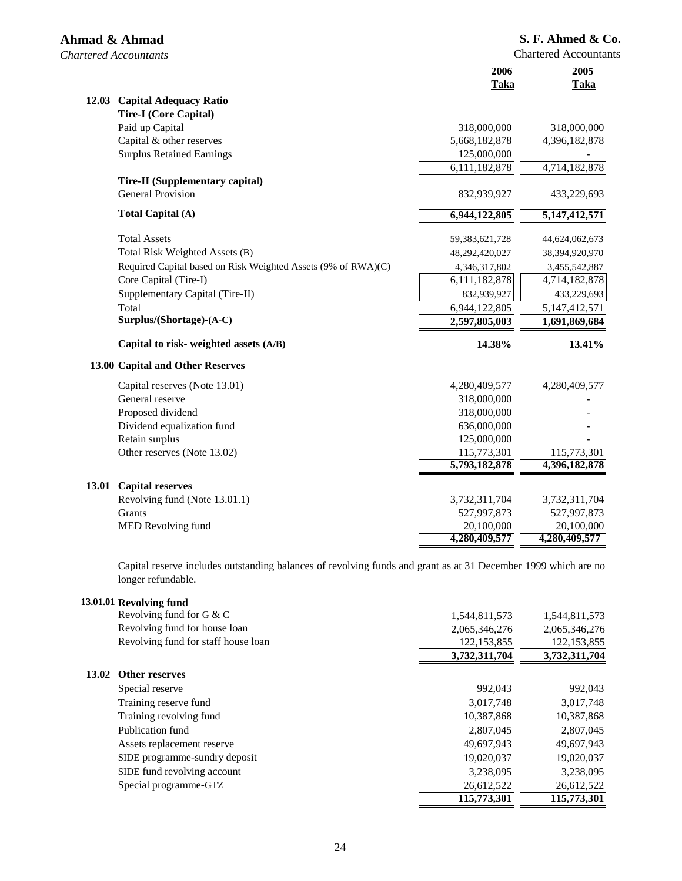| Ahmad & Ahmad<br><b>Chartered Accountants</b> |                                                               |                   | S. F. Ahmed & Co.<br><b>Chartered Accountants</b> |
|-----------------------------------------------|---------------------------------------------------------------|-------------------|---------------------------------------------------|
|                                               |                                                               | 2006<br>Taka      | 2005<br>Taka                                      |
|                                               | 12.03 Capital Adequacy Ratio                                  |                   |                                                   |
|                                               | <b>Tire-I</b> (Core Capital)                                  |                   |                                                   |
|                                               | Paid up Capital                                               | 318,000,000       | 318,000,000                                       |
|                                               | Capital & other reserves                                      | 5,668,182,878     | 4,396,182,878                                     |
|                                               | <b>Surplus Retained Earnings</b>                              | 125,000,000       |                                                   |
|                                               |                                                               | 6,111,182,878     | 4,714,182,878                                     |
|                                               | <b>Tire-II (Supplementary capital)</b>                        |                   |                                                   |
|                                               | <b>General Provision</b>                                      | 832,939,927       | 433,229,693                                       |
|                                               | Total Capital (A)                                             | 6,944,122,805     | 5, 147, 412, 571                                  |
|                                               | <b>Total Assets</b>                                           | 59, 383, 621, 728 | 44,624,062,673                                    |
|                                               | Total Risk Weighted Assets (B)                                | 48,292,420,027    | 38,394,920,970                                    |
|                                               | Required Capital based on Risk Weighted Assets (9% of RWA)(C) | 4,346,317,802     | 3,455,542,887                                     |
|                                               | Core Capital (Tire-I)                                         | 6,111,182,878     | 4,714,182,878                                     |
|                                               | Supplementary Capital (Tire-II)                               | 832,939,927       | 433,229,693                                       |
|                                               | Total                                                         | 6,944,122,805     | 5, 147, 412, 571                                  |
|                                               | Surplus/(Shortage)-(A-C)                                      | 2,597,805,003     | 1,691,869,684                                     |
|                                               | Capital to risk- weighted assets (A/B)                        | 14.38%            | 13.41%                                            |
|                                               | 13.00 Capital and Other Reserves                              |                   |                                                   |
|                                               | Capital reserves (Note 13.01)                                 | 4,280,409,577     | 4,280,409,577                                     |
|                                               | General reserve                                               | 318,000,000       |                                                   |
|                                               | Proposed dividend                                             | 318,000,000       |                                                   |
|                                               | Dividend equalization fund                                    | 636,000,000       |                                                   |
|                                               | Retain surplus                                                | 125,000,000       |                                                   |
|                                               | Other reserves (Note 13.02)                                   | 115,773,301       | 115,773,301                                       |
|                                               |                                                               | 5,793,182,878     | 4,396,182,878                                     |
|                                               | 13.01 Capital reserves                                        |                   |                                                   |
|                                               | Revolving fund (Note 13.01.1)                                 | 3,732,311,704     | 3,732,311,704                                     |
|                                               | Grants                                                        | 527,997,873       | 527,997,873                                       |
|                                               | MED Revolving fund                                            | 20,100,000        | 20,100,000                                        |
|                                               |                                                               | 4,280,409,577     | 4,280,409,577                                     |

Capital reserve includes outstanding balances of revolving funds and grant as at 31 December 1999 which are no longer refundable.

**4,280,409,577 4,280,409,577**

|       | 13.01.01 Revolving fund             |               |               |
|-------|-------------------------------------|---------------|---------------|
|       | Revolving fund for G & C            | 1,544,811,573 | 1,544,811,573 |
|       | Revolving fund for house loan       | 2,065,346,276 | 2,065,346,276 |
|       | Revolving fund for staff house loan | 122, 153, 855 | 122, 153, 855 |
|       |                                     | 3,732,311,704 | 3,732,311,704 |
| 13.02 | Other reserves                      |               |               |
|       | Special reserve                     | 992,043       | 992,043       |
|       | Training reserve fund               | 3,017,748     | 3,017,748     |
|       | Training revolving fund             | 10,387,868    | 10,387,868    |
|       | Publication fund                    | 2,807,045     | 2,807,045     |
|       | Assets replacement reserve          | 49,697,943    | 49,697,943    |
|       | SIDE programme-sundry deposit       | 19,020,037    | 19,020,037    |
|       | SIDE fund revolving account         | 3,238,095     | 3,238,095     |
|       | Special programme-GTZ               | 26,612,522    | 26,612,522    |
|       |                                     | 115,773,301   | 115,773,301   |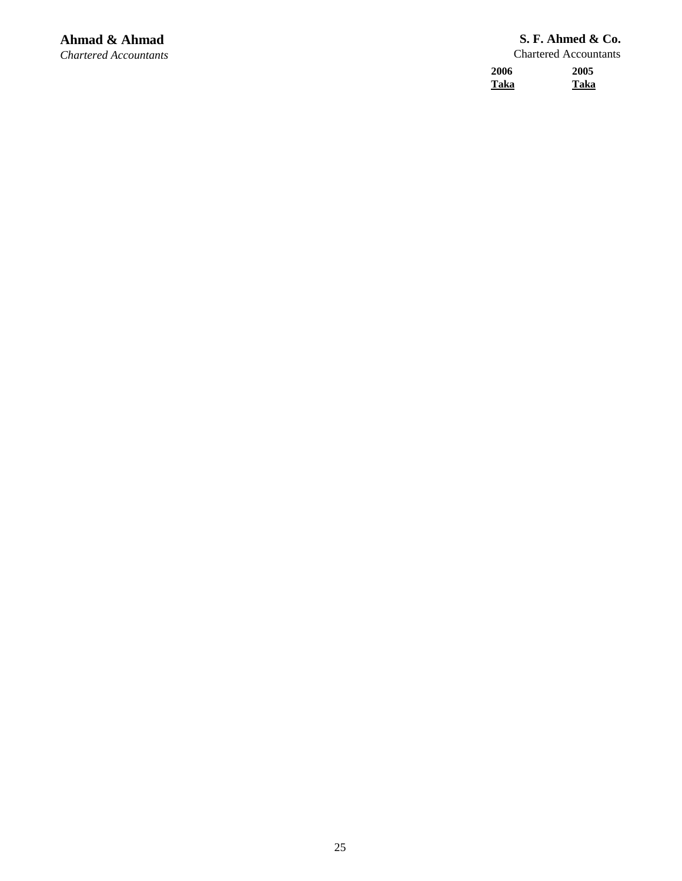| 2006 | 2005 |
|------|------|
| Taka | Taka |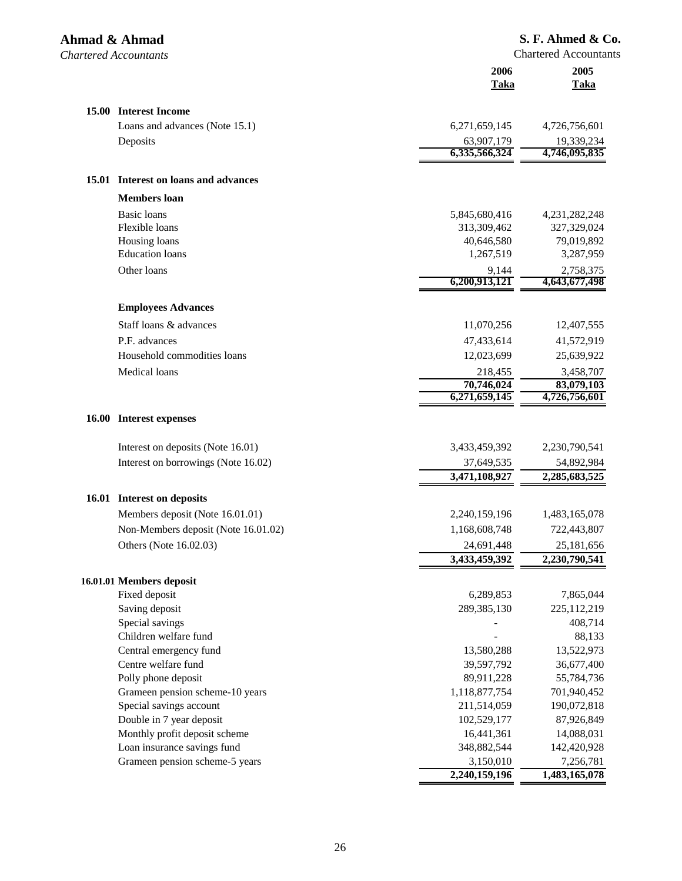| Ahmad & Ahmad<br><b>Chartered Accountants</b> |                                      |                             | S. F. Ahmed & Co.<br><b>Chartered Accountants</b> |
|-----------------------------------------------|--------------------------------------|-----------------------------|---------------------------------------------------|
|                                               |                                      | 2006<br><b>Taka</b>         | 2005<br><b>Taka</b>                               |
|                                               | 15.00 Interest Income                |                             |                                                   |
|                                               | Loans and advances (Note 15.1)       | 6,271,659,145               | 4,726,756,601                                     |
|                                               | Deposits                             | 63,907,179                  | 19,339,234                                        |
|                                               |                                      | 6,335,566,324               | 4,746,095,835                                     |
|                                               | 15.01 Interest on loans and advances |                             |                                                   |
|                                               | <b>Members</b> loan                  |                             |                                                   |
|                                               | <b>Basic</b> loans                   | 5,845,680,416               | 4,231,282,248                                     |
|                                               | Flexible loans                       | 313,309,462                 | 327,329,024                                       |
|                                               | Housing loans                        | 40,646,580                  | 79,019,892                                        |
|                                               | <b>Education</b> loans               | 1,267,519                   | 3,287,959                                         |
|                                               | Other loans                          | 9,144<br>6,200,913,121      | 2,758,375<br>4,643,677,498                        |
|                                               |                                      |                             |                                                   |
|                                               | <b>Employees Advances</b>            |                             |                                                   |
|                                               | Staff loans & advances               | 11,070,256                  | 12,407,555                                        |
|                                               | P.F. advances                        | 47,433,614                  | 41,572,919                                        |
|                                               | Household commodities loans          | 12,023,699                  | 25,639,922                                        |
|                                               | Medical loans                        | 218,455                     | 3,458,707                                         |
|                                               |                                      | 70,746,024<br>6,271,659,145 | 83,079,103<br>4,726,756,601                       |
|                                               | 16.00 Interest expenses              |                             |                                                   |
|                                               | Interest on deposits (Note 16.01)    | 3,433,459,392               | 2,230,790,541                                     |
|                                               | Interest on borrowings (Note 16.02)  | 37,649,535                  | 54,892,984                                        |
|                                               |                                      | 3,471,108,927               | 2,285,683,525                                     |
|                                               | 16.01 Interest on deposits           |                             |                                                   |
|                                               | Members deposit (Note 16.01.01)      | 2,240,159,196               | 1,483,165,078                                     |
|                                               | Non-Members deposit (Note 16.01.02)  | 1,168,608,748               | 722,443,807                                       |
|                                               | Others (Note 16.02.03)               | 24,691,448                  | 25,181,656                                        |
|                                               |                                      | 3,433,459,392               | 2,230,790,541                                     |
|                                               | 16.01.01 Members deposit             |                             |                                                   |
|                                               | Fixed deposit                        | 6,289,853                   | 7,865,044                                         |
|                                               | Saving deposit                       | 289,385,130                 | 225,112,219                                       |
|                                               | Special savings                      |                             | 408,714                                           |
|                                               | Children welfare fund                |                             | 88,133                                            |
|                                               | Central emergency fund               | 13,580,288                  | 13,522,973                                        |
|                                               | Centre welfare fund                  | 39,597,792                  | 36,677,400                                        |
|                                               | Polly phone deposit                  | 89,911,228                  | 55,784,736                                        |
|                                               | Grameen pension scheme-10 years      | 1,118,877,754               | 701,940,452                                       |
|                                               | Special savings account              | 211,514,059                 | 190,072,818                                       |
|                                               | Double in 7 year deposit             | 102,529,177                 | 87,926,849                                        |
|                                               | Monthly profit deposit scheme        | 16,441,361                  | 14,088,031                                        |
|                                               | Loan insurance savings fund          | 348,882,544                 | 142,420,928                                       |
|                                               | Grameen pension scheme-5 years       | 3,150,010                   | 7,256,781                                         |
|                                               |                                      | 2,240,159,196               | 1,483,165,078                                     |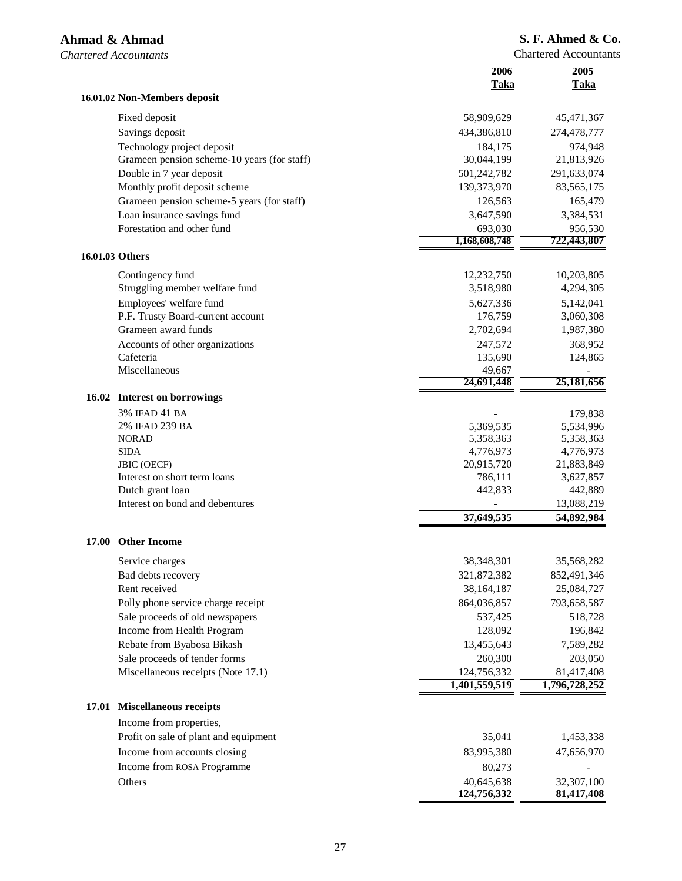| 16.01.02 Non-Members deposit<br>Fixed deposit<br>58,909,629<br>45,471,367<br>Savings deposit<br>434,386,810<br>274,478,777<br>Technology project deposit<br>184,175<br>974,948<br>Grameen pension scheme-10 years (for staff)<br>30,044,199<br>21,813,926<br>Double in 7 year deposit<br>291,633,074<br>501,242,782<br>Monthly profit deposit scheme<br>139,373,970<br>83,565,175<br>Grameen pension scheme-5 years (for staff)<br>126,563<br>165,479<br>Loan insurance savings fund<br>3,647,590<br>3,384,531<br>Forestation and other fund<br>693,030<br>956,530<br>722,443,807<br>1,168,608,748<br>16.01.03 Others<br>Contingency fund<br>12,232,750<br>10,203,805<br>Struggling member welfare fund<br>3,518,980<br>4,294,305<br>Employees' welfare fund<br>5,627,336<br>5,142,041<br>P.F. Trusty Board-current account<br>176,759<br>3,060,308<br>Grameen award funds<br>2,702,694<br>1,987,380<br>Accounts of other organizations<br>247,572<br>368,952<br>Cafeteria<br>135,690<br>124,865<br>Miscellaneous<br>49,667<br>25,181,656<br>24,691,448<br>16.02 Interest on borrowings<br>3% IFAD 41 BA<br>179,838<br>2% IFAD 239 BA<br>5,369,535<br>5,534,996<br><b>NORAD</b><br>5,358,363<br>5,358,363<br>4,776,973<br>4,776,973<br><b>SIDA</b><br>20,915,720<br><b>JBIC</b> (OECF)<br>21,883,849<br>786,111<br>Interest on short term loans<br>3,627,857<br>Dutch grant loan<br>442,833<br>442,889<br>Interest on bond and debentures<br>13,088,219<br>37,649,535<br>54,892,984<br><b>Other Income</b><br>17.00<br>38,348,301<br>35,568,282<br>Service charges<br>321,872,382<br>852,491,346<br>Bad debts recovery<br>Rent received<br>38,164,187<br>25,084,727<br>Polly phone service charge receipt<br>864,036,857<br>793,658,587<br>Sale proceeds of old newspapers<br>537,425<br>518,728<br>Income from Health Program<br>128,092<br>196,842<br>Rebate from Byabosa Bikash<br>13,455,643<br>7,589,282<br>Sale proceeds of tender forms<br>260,300<br>203,050<br>Miscellaneous receipts (Note 17.1)<br>124,756,332<br>81,417,408<br>1,401,559,519<br>1,796,728,252<br><b>Miscellaneous receipts</b><br>17.01<br>Income from properties,<br>Profit on sale of plant and equipment<br>35,041<br>1,453,338<br>Income from accounts closing<br>83,995,380<br>47,656,970<br>Income from ROSA Programme<br>80,273<br>Others<br>40,645,638<br>32,307,100<br>124,756,332<br>81,417,408 |  | 2006<br>Taka | 2005<br>Taka |
|---------------------------------------------------------------------------------------------------------------------------------------------------------------------------------------------------------------------------------------------------------------------------------------------------------------------------------------------------------------------------------------------------------------------------------------------------------------------------------------------------------------------------------------------------------------------------------------------------------------------------------------------------------------------------------------------------------------------------------------------------------------------------------------------------------------------------------------------------------------------------------------------------------------------------------------------------------------------------------------------------------------------------------------------------------------------------------------------------------------------------------------------------------------------------------------------------------------------------------------------------------------------------------------------------------------------------------------------------------------------------------------------------------------------------------------------------------------------------------------------------------------------------------------------------------------------------------------------------------------------------------------------------------------------------------------------------------------------------------------------------------------------------------------------------------------------------------------------------------------------------------------------------------------------------------------------------------------------------------------------------------------------------------------------------------------------------------------------------------------------------------------------------------------------------------------------------------------------------------------------------------------------------------------------------------------------------------------------------------------------------------------|--|--------------|--------------|
|                                                                                                                                                                                                                                                                                                                                                                                                                                                                                                                                                                                                                                                                                                                                                                                                                                                                                                                                                                                                                                                                                                                                                                                                                                                                                                                                                                                                                                                                                                                                                                                                                                                                                                                                                                                                                                                                                                                                                                                                                                                                                                                                                                                                                                                                                                                                                                                       |  |              |              |
|                                                                                                                                                                                                                                                                                                                                                                                                                                                                                                                                                                                                                                                                                                                                                                                                                                                                                                                                                                                                                                                                                                                                                                                                                                                                                                                                                                                                                                                                                                                                                                                                                                                                                                                                                                                                                                                                                                                                                                                                                                                                                                                                                                                                                                                                                                                                                                                       |  |              |              |
|                                                                                                                                                                                                                                                                                                                                                                                                                                                                                                                                                                                                                                                                                                                                                                                                                                                                                                                                                                                                                                                                                                                                                                                                                                                                                                                                                                                                                                                                                                                                                                                                                                                                                                                                                                                                                                                                                                                                                                                                                                                                                                                                                                                                                                                                                                                                                                                       |  |              |              |
|                                                                                                                                                                                                                                                                                                                                                                                                                                                                                                                                                                                                                                                                                                                                                                                                                                                                                                                                                                                                                                                                                                                                                                                                                                                                                                                                                                                                                                                                                                                                                                                                                                                                                                                                                                                                                                                                                                                                                                                                                                                                                                                                                                                                                                                                                                                                                                                       |  |              |              |
|                                                                                                                                                                                                                                                                                                                                                                                                                                                                                                                                                                                                                                                                                                                                                                                                                                                                                                                                                                                                                                                                                                                                                                                                                                                                                                                                                                                                                                                                                                                                                                                                                                                                                                                                                                                                                                                                                                                                                                                                                                                                                                                                                                                                                                                                                                                                                                                       |  |              |              |
|                                                                                                                                                                                                                                                                                                                                                                                                                                                                                                                                                                                                                                                                                                                                                                                                                                                                                                                                                                                                                                                                                                                                                                                                                                                                                                                                                                                                                                                                                                                                                                                                                                                                                                                                                                                                                                                                                                                                                                                                                                                                                                                                                                                                                                                                                                                                                                                       |  |              |              |
|                                                                                                                                                                                                                                                                                                                                                                                                                                                                                                                                                                                                                                                                                                                                                                                                                                                                                                                                                                                                                                                                                                                                                                                                                                                                                                                                                                                                                                                                                                                                                                                                                                                                                                                                                                                                                                                                                                                                                                                                                                                                                                                                                                                                                                                                                                                                                                                       |  |              |              |
|                                                                                                                                                                                                                                                                                                                                                                                                                                                                                                                                                                                                                                                                                                                                                                                                                                                                                                                                                                                                                                                                                                                                                                                                                                                                                                                                                                                                                                                                                                                                                                                                                                                                                                                                                                                                                                                                                                                                                                                                                                                                                                                                                                                                                                                                                                                                                                                       |  |              |              |
|                                                                                                                                                                                                                                                                                                                                                                                                                                                                                                                                                                                                                                                                                                                                                                                                                                                                                                                                                                                                                                                                                                                                                                                                                                                                                                                                                                                                                                                                                                                                                                                                                                                                                                                                                                                                                                                                                                                                                                                                                                                                                                                                                                                                                                                                                                                                                                                       |  |              |              |
|                                                                                                                                                                                                                                                                                                                                                                                                                                                                                                                                                                                                                                                                                                                                                                                                                                                                                                                                                                                                                                                                                                                                                                                                                                                                                                                                                                                                                                                                                                                                                                                                                                                                                                                                                                                                                                                                                                                                                                                                                                                                                                                                                                                                                                                                                                                                                                                       |  |              |              |
|                                                                                                                                                                                                                                                                                                                                                                                                                                                                                                                                                                                                                                                                                                                                                                                                                                                                                                                                                                                                                                                                                                                                                                                                                                                                                                                                                                                                                                                                                                                                                                                                                                                                                                                                                                                                                                                                                                                                                                                                                                                                                                                                                                                                                                                                                                                                                                                       |  |              |              |
|                                                                                                                                                                                                                                                                                                                                                                                                                                                                                                                                                                                                                                                                                                                                                                                                                                                                                                                                                                                                                                                                                                                                                                                                                                                                                                                                                                                                                                                                                                                                                                                                                                                                                                                                                                                                                                                                                                                                                                                                                                                                                                                                                                                                                                                                                                                                                                                       |  |              |              |
|                                                                                                                                                                                                                                                                                                                                                                                                                                                                                                                                                                                                                                                                                                                                                                                                                                                                                                                                                                                                                                                                                                                                                                                                                                                                                                                                                                                                                                                                                                                                                                                                                                                                                                                                                                                                                                                                                                                                                                                                                                                                                                                                                                                                                                                                                                                                                                                       |  |              |              |
|                                                                                                                                                                                                                                                                                                                                                                                                                                                                                                                                                                                                                                                                                                                                                                                                                                                                                                                                                                                                                                                                                                                                                                                                                                                                                                                                                                                                                                                                                                                                                                                                                                                                                                                                                                                                                                                                                                                                                                                                                                                                                                                                                                                                                                                                                                                                                                                       |  |              |              |
|                                                                                                                                                                                                                                                                                                                                                                                                                                                                                                                                                                                                                                                                                                                                                                                                                                                                                                                                                                                                                                                                                                                                                                                                                                                                                                                                                                                                                                                                                                                                                                                                                                                                                                                                                                                                                                                                                                                                                                                                                                                                                                                                                                                                                                                                                                                                                                                       |  |              |              |
|                                                                                                                                                                                                                                                                                                                                                                                                                                                                                                                                                                                                                                                                                                                                                                                                                                                                                                                                                                                                                                                                                                                                                                                                                                                                                                                                                                                                                                                                                                                                                                                                                                                                                                                                                                                                                                                                                                                                                                                                                                                                                                                                                                                                                                                                                                                                                                                       |  |              |              |
|                                                                                                                                                                                                                                                                                                                                                                                                                                                                                                                                                                                                                                                                                                                                                                                                                                                                                                                                                                                                                                                                                                                                                                                                                                                                                                                                                                                                                                                                                                                                                                                                                                                                                                                                                                                                                                                                                                                                                                                                                                                                                                                                                                                                                                                                                                                                                                                       |  |              |              |
|                                                                                                                                                                                                                                                                                                                                                                                                                                                                                                                                                                                                                                                                                                                                                                                                                                                                                                                                                                                                                                                                                                                                                                                                                                                                                                                                                                                                                                                                                                                                                                                                                                                                                                                                                                                                                                                                                                                                                                                                                                                                                                                                                                                                                                                                                                                                                                                       |  |              |              |
|                                                                                                                                                                                                                                                                                                                                                                                                                                                                                                                                                                                                                                                                                                                                                                                                                                                                                                                                                                                                                                                                                                                                                                                                                                                                                                                                                                                                                                                                                                                                                                                                                                                                                                                                                                                                                                                                                                                                                                                                                                                                                                                                                                                                                                                                                                                                                                                       |  |              |              |
|                                                                                                                                                                                                                                                                                                                                                                                                                                                                                                                                                                                                                                                                                                                                                                                                                                                                                                                                                                                                                                                                                                                                                                                                                                                                                                                                                                                                                                                                                                                                                                                                                                                                                                                                                                                                                                                                                                                                                                                                                                                                                                                                                                                                                                                                                                                                                                                       |  |              |              |
|                                                                                                                                                                                                                                                                                                                                                                                                                                                                                                                                                                                                                                                                                                                                                                                                                                                                                                                                                                                                                                                                                                                                                                                                                                                                                                                                                                                                                                                                                                                                                                                                                                                                                                                                                                                                                                                                                                                                                                                                                                                                                                                                                                                                                                                                                                                                                                                       |  |              |              |
|                                                                                                                                                                                                                                                                                                                                                                                                                                                                                                                                                                                                                                                                                                                                                                                                                                                                                                                                                                                                                                                                                                                                                                                                                                                                                                                                                                                                                                                                                                                                                                                                                                                                                                                                                                                                                                                                                                                                                                                                                                                                                                                                                                                                                                                                                                                                                                                       |  |              |              |
|                                                                                                                                                                                                                                                                                                                                                                                                                                                                                                                                                                                                                                                                                                                                                                                                                                                                                                                                                                                                                                                                                                                                                                                                                                                                                                                                                                                                                                                                                                                                                                                                                                                                                                                                                                                                                                                                                                                                                                                                                                                                                                                                                                                                                                                                                                                                                                                       |  |              |              |
|                                                                                                                                                                                                                                                                                                                                                                                                                                                                                                                                                                                                                                                                                                                                                                                                                                                                                                                                                                                                                                                                                                                                                                                                                                                                                                                                                                                                                                                                                                                                                                                                                                                                                                                                                                                                                                                                                                                                                                                                                                                                                                                                                                                                                                                                                                                                                                                       |  |              |              |
|                                                                                                                                                                                                                                                                                                                                                                                                                                                                                                                                                                                                                                                                                                                                                                                                                                                                                                                                                                                                                                                                                                                                                                                                                                                                                                                                                                                                                                                                                                                                                                                                                                                                                                                                                                                                                                                                                                                                                                                                                                                                                                                                                                                                                                                                                                                                                                                       |  |              |              |
|                                                                                                                                                                                                                                                                                                                                                                                                                                                                                                                                                                                                                                                                                                                                                                                                                                                                                                                                                                                                                                                                                                                                                                                                                                                                                                                                                                                                                                                                                                                                                                                                                                                                                                                                                                                                                                                                                                                                                                                                                                                                                                                                                                                                                                                                                                                                                                                       |  |              |              |
|                                                                                                                                                                                                                                                                                                                                                                                                                                                                                                                                                                                                                                                                                                                                                                                                                                                                                                                                                                                                                                                                                                                                                                                                                                                                                                                                                                                                                                                                                                                                                                                                                                                                                                                                                                                                                                                                                                                                                                                                                                                                                                                                                                                                                                                                                                                                                                                       |  |              |              |
|                                                                                                                                                                                                                                                                                                                                                                                                                                                                                                                                                                                                                                                                                                                                                                                                                                                                                                                                                                                                                                                                                                                                                                                                                                                                                                                                                                                                                                                                                                                                                                                                                                                                                                                                                                                                                                                                                                                                                                                                                                                                                                                                                                                                                                                                                                                                                                                       |  |              |              |
|                                                                                                                                                                                                                                                                                                                                                                                                                                                                                                                                                                                                                                                                                                                                                                                                                                                                                                                                                                                                                                                                                                                                                                                                                                                                                                                                                                                                                                                                                                                                                                                                                                                                                                                                                                                                                                                                                                                                                                                                                                                                                                                                                                                                                                                                                                                                                                                       |  |              |              |
|                                                                                                                                                                                                                                                                                                                                                                                                                                                                                                                                                                                                                                                                                                                                                                                                                                                                                                                                                                                                                                                                                                                                                                                                                                                                                                                                                                                                                                                                                                                                                                                                                                                                                                                                                                                                                                                                                                                                                                                                                                                                                                                                                                                                                                                                                                                                                                                       |  |              |              |
|                                                                                                                                                                                                                                                                                                                                                                                                                                                                                                                                                                                                                                                                                                                                                                                                                                                                                                                                                                                                                                                                                                                                                                                                                                                                                                                                                                                                                                                                                                                                                                                                                                                                                                                                                                                                                                                                                                                                                                                                                                                                                                                                                                                                                                                                                                                                                                                       |  |              |              |
|                                                                                                                                                                                                                                                                                                                                                                                                                                                                                                                                                                                                                                                                                                                                                                                                                                                                                                                                                                                                                                                                                                                                                                                                                                                                                                                                                                                                                                                                                                                                                                                                                                                                                                                                                                                                                                                                                                                                                                                                                                                                                                                                                                                                                                                                                                                                                                                       |  |              |              |
|                                                                                                                                                                                                                                                                                                                                                                                                                                                                                                                                                                                                                                                                                                                                                                                                                                                                                                                                                                                                                                                                                                                                                                                                                                                                                                                                                                                                                                                                                                                                                                                                                                                                                                                                                                                                                                                                                                                                                                                                                                                                                                                                                                                                                                                                                                                                                                                       |  |              |              |
|                                                                                                                                                                                                                                                                                                                                                                                                                                                                                                                                                                                                                                                                                                                                                                                                                                                                                                                                                                                                                                                                                                                                                                                                                                                                                                                                                                                                                                                                                                                                                                                                                                                                                                                                                                                                                                                                                                                                                                                                                                                                                                                                                                                                                                                                                                                                                                                       |  |              |              |
|                                                                                                                                                                                                                                                                                                                                                                                                                                                                                                                                                                                                                                                                                                                                                                                                                                                                                                                                                                                                                                                                                                                                                                                                                                                                                                                                                                                                                                                                                                                                                                                                                                                                                                                                                                                                                                                                                                                                                                                                                                                                                                                                                                                                                                                                                                                                                                                       |  |              |              |
|                                                                                                                                                                                                                                                                                                                                                                                                                                                                                                                                                                                                                                                                                                                                                                                                                                                                                                                                                                                                                                                                                                                                                                                                                                                                                                                                                                                                                                                                                                                                                                                                                                                                                                                                                                                                                                                                                                                                                                                                                                                                                                                                                                                                                                                                                                                                                                                       |  |              |              |
|                                                                                                                                                                                                                                                                                                                                                                                                                                                                                                                                                                                                                                                                                                                                                                                                                                                                                                                                                                                                                                                                                                                                                                                                                                                                                                                                                                                                                                                                                                                                                                                                                                                                                                                                                                                                                                                                                                                                                                                                                                                                                                                                                                                                                                                                                                                                                                                       |  |              |              |
|                                                                                                                                                                                                                                                                                                                                                                                                                                                                                                                                                                                                                                                                                                                                                                                                                                                                                                                                                                                                                                                                                                                                                                                                                                                                                                                                                                                                                                                                                                                                                                                                                                                                                                                                                                                                                                                                                                                                                                                                                                                                                                                                                                                                                                                                                                                                                                                       |  |              |              |
|                                                                                                                                                                                                                                                                                                                                                                                                                                                                                                                                                                                                                                                                                                                                                                                                                                                                                                                                                                                                                                                                                                                                                                                                                                                                                                                                                                                                                                                                                                                                                                                                                                                                                                                                                                                                                                                                                                                                                                                                                                                                                                                                                                                                                                                                                                                                                                                       |  |              |              |
|                                                                                                                                                                                                                                                                                                                                                                                                                                                                                                                                                                                                                                                                                                                                                                                                                                                                                                                                                                                                                                                                                                                                                                                                                                                                                                                                                                                                                                                                                                                                                                                                                                                                                                                                                                                                                                                                                                                                                                                                                                                                                                                                                                                                                                                                                                                                                                                       |  |              |              |
|                                                                                                                                                                                                                                                                                                                                                                                                                                                                                                                                                                                                                                                                                                                                                                                                                                                                                                                                                                                                                                                                                                                                                                                                                                                                                                                                                                                                                                                                                                                                                                                                                                                                                                                                                                                                                                                                                                                                                                                                                                                                                                                                                                                                                                                                                                                                                                                       |  |              |              |
|                                                                                                                                                                                                                                                                                                                                                                                                                                                                                                                                                                                                                                                                                                                                                                                                                                                                                                                                                                                                                                                                                                                                                                                                                                                                                                                                                                                                                                                                                                                                                                                                                                                                                                                                                                                                                                                                                                                                                                                                                                                                                                                                                                                                                                                                                                                                                                                       |  |              |              |
|                                                                                                                                                                                                                                                                                                                                                                                                                                                                                                                                                                                                                                                                                                                                                                                                                                                                                                                                                                                                                                                                                                                                                                                                                                                                                                                                                                                                                                                                                                                                                                                                                                                                                                                                                                                                                                                                                                                                                                                                                                                                                                                                                                                                                                                                                                                                                                                       |  |              |              |
|                                                                                                                                                                                                                                                                                                                                                                                                                                                                                                                                                                                                                                                                                                                                                                                                                                                                                                                                                                                                                                                                                                                                                                                                                                                                                                                                                                                                                                                                                                                                                                                                                                                                                                                                                                                                                                                                                                                                                                                                                                                                                                                                                                                                                                                                                                                                                                                       |  |              |              |
|                                                                                                                                                                                                                                                                                                                                                                                                                                                                                                                                                                                                                                                                                                                                                                                                                                                                                                                                                                                                                                                                                                                                                                                                                                                                                                                                                                                                                                                                                                                                                                                                                                                                                                                                                                                                                                                                                                                                                                                                                                                                                                                                                                                                                                                                                                                                                                                       |  |              |              |
|                                                                                                                                                                                                                                                                                                                                                                                                                                                                                                                                                                                                                                                                                                                                                                                                                                                                                                                                                                                                                                                                                                                                                                                                                                                                                                                                                                                                                                                                                                                                                                                                                                                                                                                                                                                                                                                                                                                                                                                                                                                                                                                                                                                                                                                                                                                                                                                       |  |              |              |
|                                                                                                                                                                                                                                                                                                                                                                                                                                                                                                                                                                                                                                                                                                                                                                                                                                                                                                                                                                                                                                                                                                                                                                                                                                                                                                                                                                                                                                                                                                                                                                                                                                                                                                                                                                                                                                                                                                                                                                                                                                                                                                                                                                                                                                                                                                                                                                                       |  |              |              |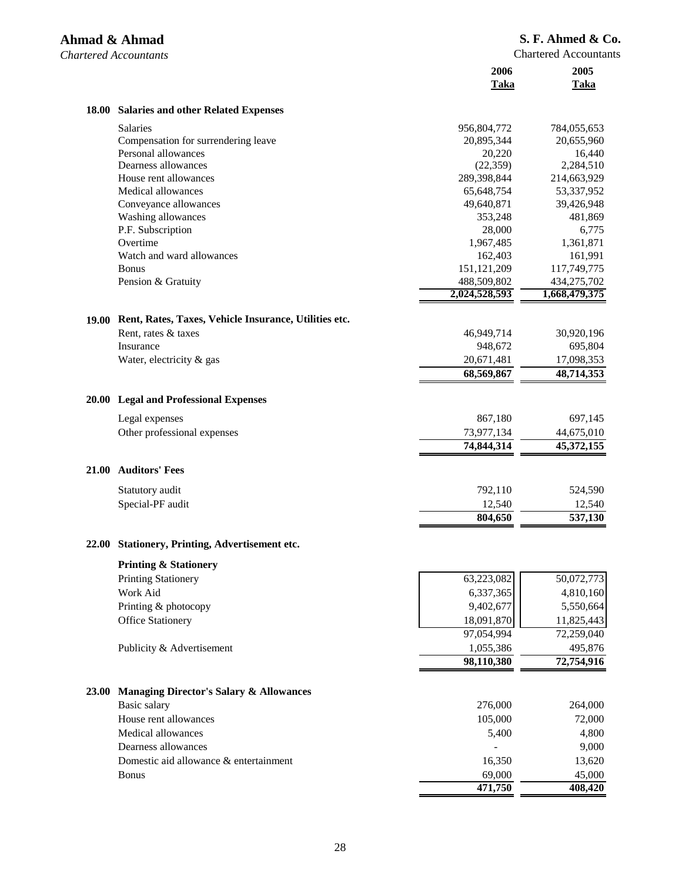*Chartered Accountants* 

|              |                                                       | 2006<br>Taka             | 2005<br>Taka             |
|--------------|-------------------------------------------------------|--------------------------|--------------------------|
| <b>18.00</b> | <b>Salaries and other Related Expenses</b>            |                          |                          |
|              | <b>Salaries</b>                                       | 956,804,772              | 784,055,653              |
|              | Compensation for surrendering leave                   | 20,895,344               | 20,655,960               |
|              | Personal allowances                                   | 20,220                   | 16,440                   |
|              | Dearness allowances                                   | (22, 359)                | 2,284,510                |
|              | House rent allowances                                 | 289,398,844              | 214,663,929              |
|              | Medical allowances<br>Conveyance allowances           | 65,648,754<br>49,640,871 | 53,337,952<br>39,426,948 |
|              | Washing allowances                                    | 353,248                  | 481,869                  |
|              | P.F. Subscription                                     | 28,000                   | 6,775                    |
|              | Overtime                                              | 1,967,485                | 1,361,871                |
|              | Watch and ward allowances                             | 162,403                  | 161,991                  |
|              | <b>Bonus</b>                                          | 151,121,209              | 117,749,775              |
|              | Pension & Gratuity                                    | 488,509,802              | 434,275,702              |
|              |                                                       | 2,024,528,593            | 1,668,479,375            |
| 19.00        | Rent, Rates, Taxes, Vehicle Insurance, Utilities etc. |                          |                          |
|              | Rent, rates & taxes                                   | 46,949,714               | 30,920,196               |
|              | Insurance                                             | 948,672                  | 695,804                  |
|              | Water, electricity & gas                              | 20,671,481               | 17,098,353               |
|              |                                                       | 68,569,867               | 48,714,353               |
| <b>20.00</b> | <b>Legal and Professional Expenses</b>                |                          |                          |
|              | Legal expenses                                        | 867,180                  | 697,145                  |
|              | Other professional expenses                           | 73,977,134               | 44,675,010               |
|              |                                                       | 74,844,314               | 45,372,155               |
| <b>21.00</b> | <b>Auditors' Fees</b>                                 |                          |                          |
|              | Statutory audit                                       | 792,110                  | 524,590                  |
|              | Special-PF audit                                      | 12,540                   | 12,540                   |
|              |                                                       | 804,650                  | 537,130                  |
|              | 22.00 Stationery, Printing, Advertisement etc.        |                          |                          |
|              | <b>Printing &amp; Stationery</b>                      |                          |                          |
|              | <b>Printing Stationery</b>                            | 63,223,082               | 50,072,773               |
|              | Work Aid                                              | 6,337,365                | 4,810,160                |
|              | Printing & photocopy                                  | 9,402,677                | 5,550,664                |
|              | <b>Office Stationery</b>                              | 18,091,870               | 11,825,443               |
|              |                                                       | 97,054,994               | 72,259,040               |
|              | Publicity & Advertisement                             | 1,055,386                | 495,876                  |
|              |                                                       | 98,110,380               | 72,754,916               |
| 23.00        | <b>Managing Director's Salary &amp; Allowances</b>    |                          |                          |
|              | Basic salary                                          | 276,000                  | 264,000                  |
|              | House rent allowances                                 | 105,000                  | 72,000                   |
|              | Medical allowances                                    | 5,400                    | 4,800                    |
|              | Dearness allowances                                   |                          | 9,000                    |
|              | Domestic aid allowance & entertainment                | 16,350                   | 13,620                   |
|              | <b>Bonus</b>                                          | 69,000                   | 45,000                   |
|              |                                                       | 471,750                  | 408,420                  |
|              |                                                       |                          |                          |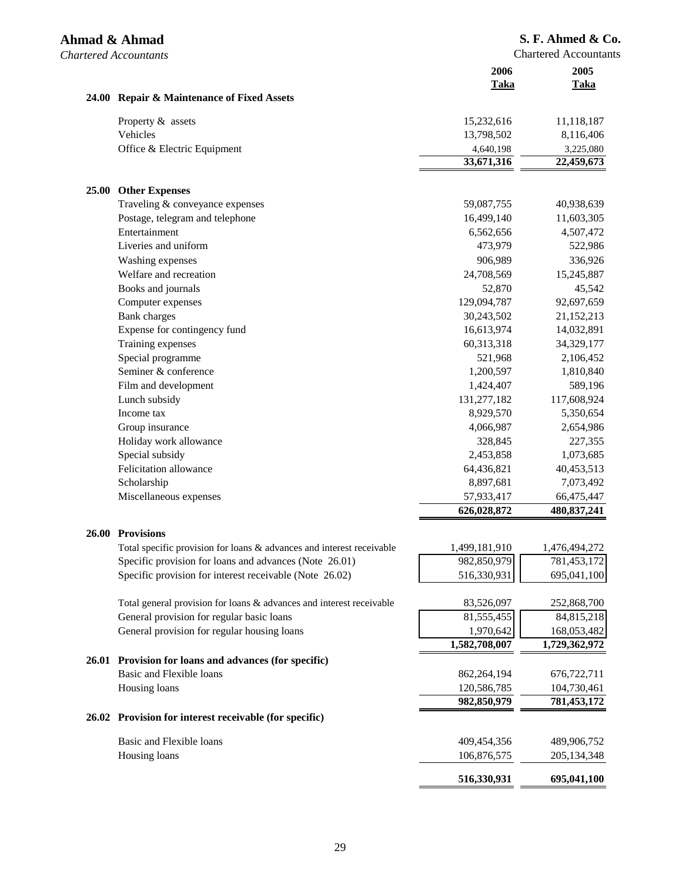|              |                                                                       | 2006<br>Taka  | 2005<br><b>Taka</b> |
|--------------|-----------------------------------------------------------------------|---------------|---------------------|
|              | 24.00 Repair & Maintenance of Fixed Assets                            |               |                     |
|              | Property & assets                                                     | 15,232,616    | 11,118,187          |
|              | Vehicles                                                              | 13,798,502    | 8,116,406           |
|              | Office & Electric Equipment                                           | 4,640,198     | 3,225,080           |
|              |                                                                       | 33,671,316    | 22,459,673          |
| <b>25.00</b> | <b>Other Expenses</b>                                                 |               |                     |
|              | Traveling & conveyance expenses                                       | 59,087,755    | 40,938,639          |
|              | Postage, telegram and telephone                                       | 16,499,140    | 11,603,305          |
|              | Entertainment                                                         | 6,562,656     | 4,507,472           |
|              | Liveries and uniform                                                  | 473,979       | 522,986             |
|              | Washing expenses                                                      | 906,989       | 336,926             |
|              | Welfare and recreation                                                | 24,708,569    | 15,245,887          |
|              | Books and journals                                                    | 52,870        | 45,542              |
|              | Computer expenses                                                     | 129,094,787   | 92,697,659          |
|              | <b>Bank</b> charges                                                   | 30,243,502    | 21,152,213          |
|              | Expense for contingency fund                                          | 16,613,974    | 14,032,891          |
|              | Training expenses                                                     | 60,313,318    | 34,329,177          |
|              | Special programme                                                     | 521,968       | 2,106,452           |
|              | Seminer & conference                                                  | 1,200,597     | 1,810,840           |
|              | Film and development                                                  | 1,424,407     | 589,196             |
|              | Lunch subsidy                                                         | 131,277,182   | 117,608,924         |
|              | Income tax                                                            | 8,929,570     | 5,350,654           |
|              | Group insurance                                                       | 4,066,987     | 2,654,986           |
|              | Holiday work allowance                                                | 328,845       | 227,355             |
|              | Special subsidy                                                       | 2,453,858     | 1,073,685           |
|              | Felicitation allowance                                                | 64,436,821    | 40,453,513          |
|              | Scholarship                                                           | 8,897,681     | 7,073,492           |
|              | Miscellaneous expenses                                                | 57,933,417    | 66,475,447          |
|              |                                                                       | 626,028,872   | 480,837,241         |
| 26.00        | <b>Provisions</b>                                                     |               |                     |
|              | Total specific provision for loans & advances and interest receivable | 1,499,181,910 | 1,476,494,272       |
|              | Specific provision for loans and advances (Note 26.01)                | 982,850,979   | 781,453,172         |
|              | Specific provision for interest receivable (Note 26.02)               | 516,330,931   | 695,041,100         |
|              | Total general provision for loans & advances and interest receivable  | 83,526,097    | 252,868,700         |
|              | General provision for regular basic loans                             | 81,555,455    | 84,815,218          |
|              | General provision for regular housing loans                           | 1,970,642     | 168,053,482         |
|              |                                                                       | 1,582,708,007 | 1,729,362,972       |
|              | 26.01 Provision for loans and advances (for specific)                 |               |                     |
|              | Basic and Flexible loans                                              | 862,264,194   | 676,722,711         |
|              | Housing loans                                                         | 120,586,785   | 104,730,461         |
|              |                                                                       | 982,850,979   | 781,453,172         |
|              | 26.02 Provision for interest receivable (for specific)                |               |                     |
|              | Basic and Flexible loans                                              |               |                     |
|              |                                                                       | 409,454,356   | 489,906,752         |
|              | Housing loans                                                         | 106,876,575   | 205,134,348         |
|              |                                                                       | 516,330,931   | 695,041,100         |